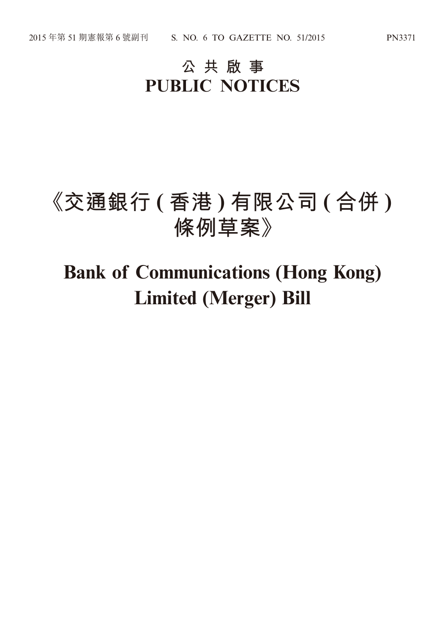# **公 共 啟 事 PUBLIC NOTICES**

# **《交通銀行 ( 香港 ) 有限公司 ( 合併 ) 條例草案》**

# **Bank of Communications (Hong Kong) Limited (Merger) Bill**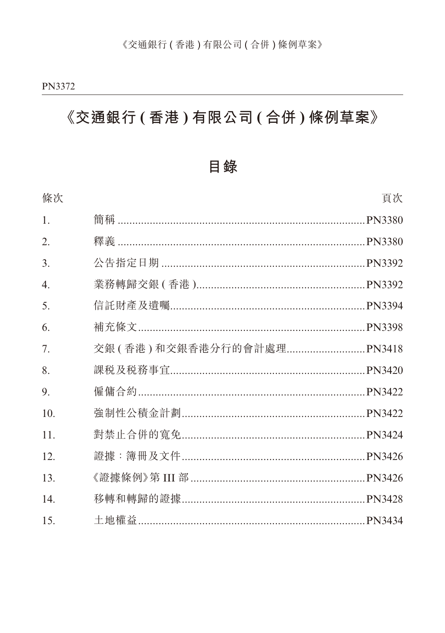# 《交通銀行 ( 香港 ) 有限公司 ( 合併 ) 條例草案》

### 目錄

| 條次  |                          | 頁次 |
|-----|--------------------------|----|
| 1.  |                          |    |
| 2.  |                          |    |
| 3.  |                          |    |
| 4.  |                          |    |
| 5.  |                          |    |
| 6.  |                          |    |
| 7.  | 交銀(香港)和交銀香港分行的會計處理PN3418 |    |
| 8.  |                          |    |
| 9.  |                          |    |
| 10. |                          |    |
| 11. |                          |    |
| 12. |                          |    |
| 13. |                          |    |
| 14. |                          |    |
| 15. |                          |    |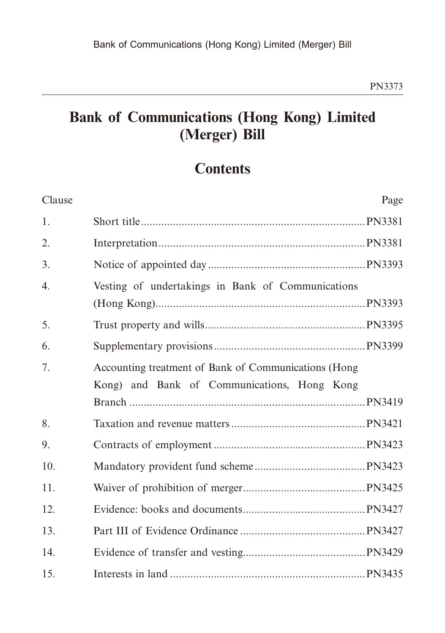# **Bank of Communications (Hong Kong) Limited (Merger) Bill**

## **Contents**

| Clause | Page                                                                                                |
|--------|-----------------------------------------------------------------------------------------------------|
| 1.     |                                                                                                     |
| 2.     |                                                                                                     |
| 3.     |                                                                                                     |
| 4.     | Vesting of undertakings in Bank of Communications                                                   |
|        |                                                                                                     |
| 5.     |                                                                                                     |
| 6.     |                                                                                                     |
| 7.     | Accounting treatment of Bank of Communications (Hong<br>Kong) and Bank of Communications, Hong Kong |
|        |                                                                                                     |
| 8.     |                                                                                                     |
| 9.     |                                                                                                     |
| 10.    |                                                                                                     |
| 11.    |                                                                                                     |
| 12.    |                                                                                                     |
| 13.    |                                                                                                     |
| 14.    |                                                                                                     |
| 15.    |                                                                                                     |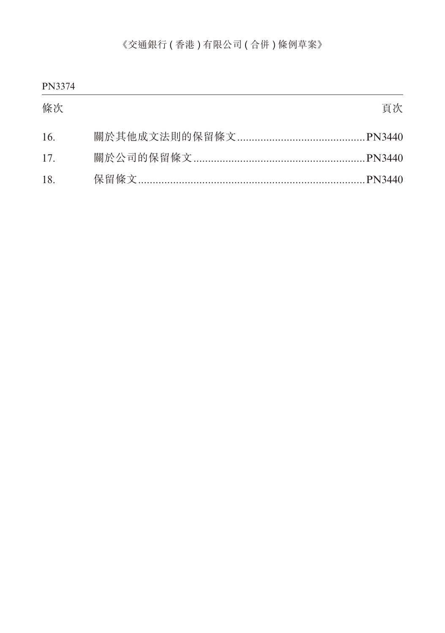#### 《交通銀行 ( 香港 ) 有限公司 ( 合併 ) 條例草案》

| 條次  | 百次 |
|-----|----|
| 16. |    |
| 17  |    |
| 18. |    |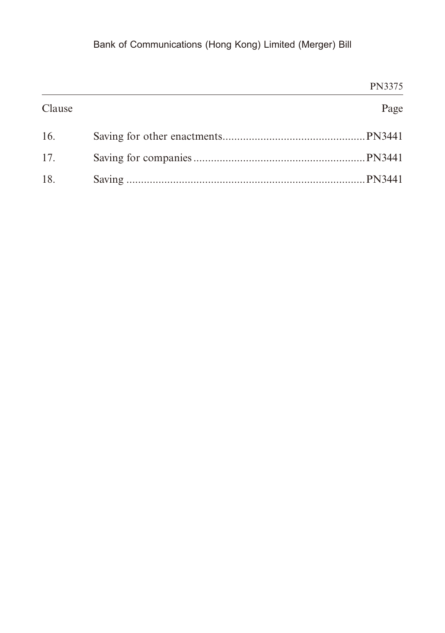### Bank of Communications (Hong Kong) Limited (Merger) Bill

| PN3375 |        |
|--------|--------|
| Page   | Clause |
|        | 16.    |
|        |        |
|        | 18.    |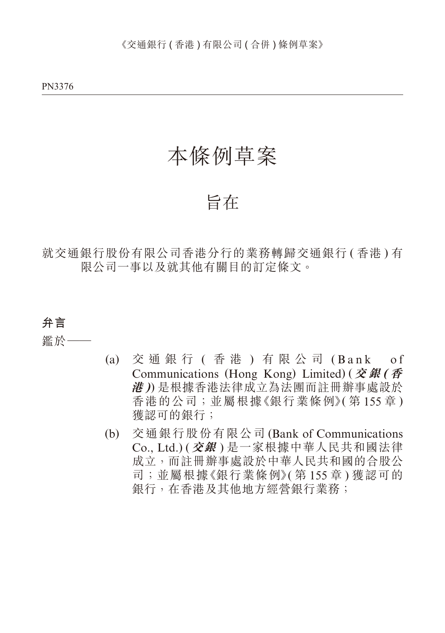PN3376

# 本條例草案

## 旨在

就交通銀行股份有限公司香港分行的業務轉歸交通銀行 ( 香港 ) 有 限公司一事以及就其他有關目的訂定條文。

#### **弁言**

鑑於——

- (a) 交通銀行 ( 香港 ) 有限公司 (Bank of Communications (Hong Kong) Limited) (**交 銀 ( 香 港 )**) 是根據香港法律成立為法團而註冊辦事處設於 香港的公司;並屬根據《銀行業條例》( 第 155 章 ) 獲認可的銀行;
- (b) 交通銀行股份有限公司 (Bank of Communications Co., Ltd.) (**交銀** ) 是一家根據中華人民共和國法律 成立,而註冊辦事處設於中華人民共和國的合股公 司;並屬根據《銀行業條例》( 第 155 章 ) 獲認可的 銀行,在香港及其他地方經營銀行業務;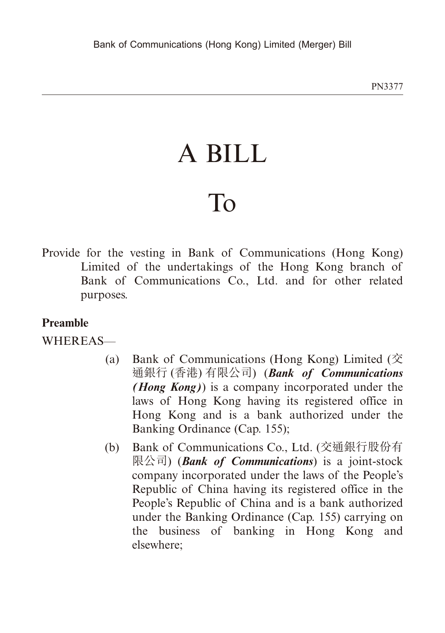# A BILL

# To

Provide for the vesting in Bank of Communications (Hong Kong) Limited of the undertakings of the Hong Kong branch of Bank of Communications Co., Ltd. and for other related purposes.

#### **Preamble**

#### WHEREAS—

- (a) Bank of Communications (Hong Kong) Limited (交 通銀行 (香港) 有限公司) (*Bank of Communications (Hong Kong)*) is a company incorporated under the laws of Hong Kong having its registered office in Hong Kong and is a bank authorized under the Banking Ordinance (Cap. 155);
- (b) Bank of Communications Co., Ltd. (交通銀行股份有 限公司) (*Bank of Communications*) is a joint-stock company incorporated under the laws of the People's Republic of China having its registered office in the People's Republic of China and is a bank authorized under the Banking Ordinance (Cap. 155) carrying on the business of banking in Hong Kong and elsewhere;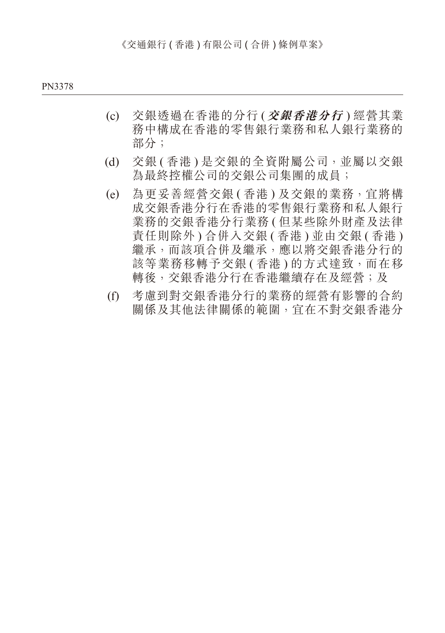- (c) 交銀透過在香港的分行 (**交銀香港分行** ) 經營其業 務中構成在香港的零售銀行業務和私人銀行業務的 部分;
- (d) 交銀 ( 香港 ) 是交銀的全資附屬公司,並屬以交銀 為最終控權公司的交銀公司集團的成員;
- (e) 為更妥善經營交銀 ( 香港 ) 及交銀的業務,宜將構 成交銀香港分行在香港的零售銀行業務和私人銀行 業務的交銀香港分行業務 (但某些除外財產及法律 責任則除外 ) 合併入交銀 ( 香港 ) 並由交銀 ( 香港 ) 繼承,而該項合併及繼承,應以將交銀香港分行的 該等業務移轉予交銀 ( 香港 ) 的方式達致, 而在移 轉後,交銀香港分行在香港繼續存在及經營;及
- (f) 考慮到對交銀香港分行的業務的經營有影響的合約 關係及其他法律關係的範圍,宜在不對交銀香港分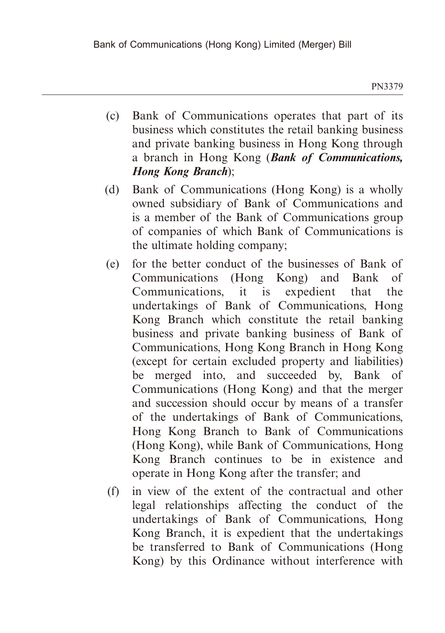- (c) Bank of Communications operates that part of its business which constitutes the retail banking business and private banking business in Hong Kong through a branch in Hong Kong (*Bank of Communications, Hong Kong Branch*);
- (d) Bank of Communications (Hong Kong) is a wholly owned subsidiary of Bank of Communications and is a member of the Bank of Communications group of companies of which Bank of Communications is the ultimate holding company;
- (e) for the better conduct of the businesses of Bank of Communications (Hong Kong) and Bank of Communications, it is expedient that the undertakings of Bank of Communications, Hong Kong Branch which constitute the retail banking business and private banking business of Bank of Communications, Hong Kong Branch in Hong Kong (except for certain excluded property and liabilities) be merged into, and succeeded by, Bank of Communications (Hong Kong) and that the merger and succession should occur by means of a transfer of the undertakings of Bank of Communications, Hong Kong Branch to Bank of Communications (Hong Kong), while Bank of Communications, Hong Kong Branch continues to be in existence and operate in Hong Kong after the transfer; and
- (f) in view of the extent of the contractual and other legal relationships affecting the conduct of the undertakings of Bank of Communications, Hong Kong Branch, it is expedient that the undertakings be transferred to Bank of Communications (Hong Kong) by this Ordinance without interference with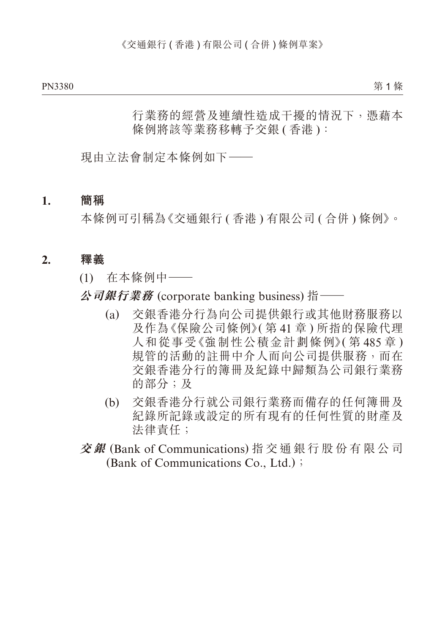行業務的經營及連續性造成干擾的情況下,憑藉本 條例將該等業務移轉予交銀 ( 香港 ):

現由立法會制定本條例如下——

#### **1. 簡稱**

本條例可引稱為《交通銀行 ( 香港 ) 有限公司 ( 合併 ) 條例》。

#### **2. 釋義**

- (1) 在本條例中——
- **公司銀行業務** (corporate banking business) 指——
	- (a) 交銀香港分行為向公司提供銀行或其他財務服務以 及作為《保險公司條例》( 第 41 章 ) 所指的保險代理 人和從事受《強制性公積金計劃條例》( 第 485 章 ) 規管的活動的註冊中介人而向公司提供服務,而在 交銀香港分行的簿冊及紀錄中歸類為公司銀行業務 的部分;及
	- (b) 交銀香港分行就公司銀行業務而備存的任何簿冊及 紀錄所記錄或設定的所有現有的任何性質的財產及 法律責任;
- **交 銀** (Bank of Communications) 指交通銀行股份有限公司 (Bank of Communications Co., Ltd.);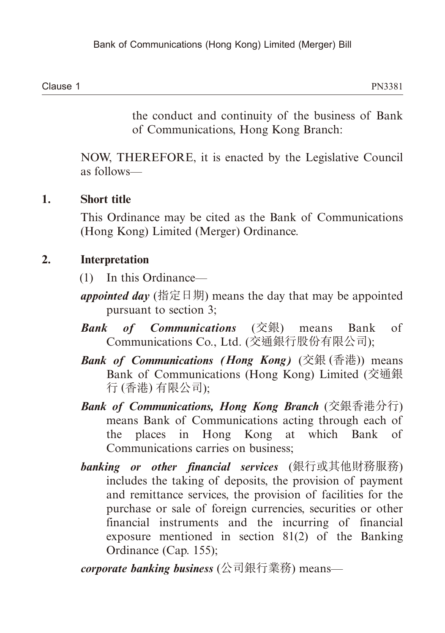the conduct and continuity of the business of Bank of Communications, Hong Kong Branch:

NOW, THEREFORE, it is enacted by the Legislative Council as follows—

#### **1. Short title**

This Ordinance may be cited as the Bank of Communications (Hong Kong) Limited (Merger) Ordinance.

#### **2. Interpretation**

- (1) In this Ordinance—
- *appointed day* (指定日期) means the day that may be appointed pursuant to section 3;
- *Bank of Communications* (交銀) means Bank of Communications Co., Ltd. (交通銀行股份有限公司);
- *Bank of Communications (Hong Kong)* (交銀 (香港)) means Bank of Communications (Hong Kong) Limited (交通銀 行 (香港) 有限公司);
- *Bank of Communications, Hong Kong Branch* (交銀香港分行) means Bank of Communications acting through each of the places in Hong Kong at which Bank of Communications carries on business;
- *banking or other financial services* (銀行或其他財務服務) includes the taking of deposits, the provision of payment and remittance services, the provision of facilities for the purchase or sale of foreign currencies, securities or other financial instruments and the incurring of financial exposure mentioned in section 81(2) of the Banking Ordinance (Cap. 155);

*corporate banking business* (公司銀行業務) means—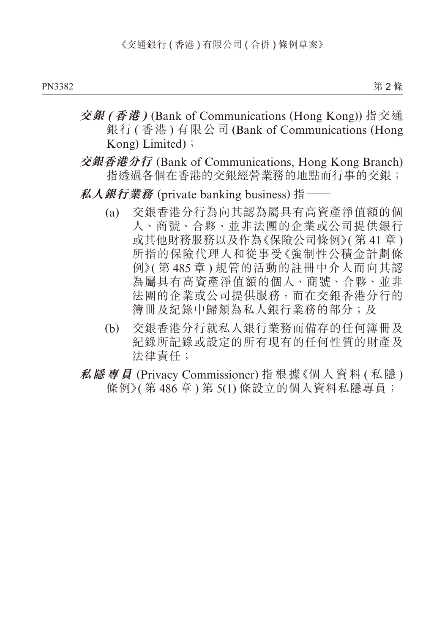- **交銀 ( 香港 )** (Bank of Communications (Hong Kong)) 指交通 銀行 ( 香港) 有限公司 (Bank of Communications (Hong Kong) Limited);
- **交銀香港分行** (Bank of Communications, Hong Kong Branch) 指透過各個在香港的交銀經營業務的地點而行事的交銀;
- **私人銀行業務** (private banking business) 指——
	- (a) 交銀香港分行為向其認為屬具有高資產淨值額的個 人、商號、合夥、並非法團的企業或公司提供銀行 或其他財務服務以及作為《保險公司條例》( 第 41 章 ) 所指的保險代理人和從事受《強制性公積金計劃條 例》( 第 485 章 ) 規管的活動的註冊中介人而向其認 為屬具有高資產淨值額的個人、商號、合夥、並非 法團的企業或公司提供服務,而在交銀香港分行的 簿冊及紀錄中歸類為私人銀行業務的部分;及
	- (b) 交銀香港分行就私人銀行業務而備存的任何簿冊及 紀錄所記錄或設定的所有現有的任何性質的財產及 法律責任;
- **私隱專員** (Privacy Commissioner) 指根據《個人資料 ( 私隱 ) 條例》( 第 486 章 ) 第 5(1) 條設立的個人資料私隱專員;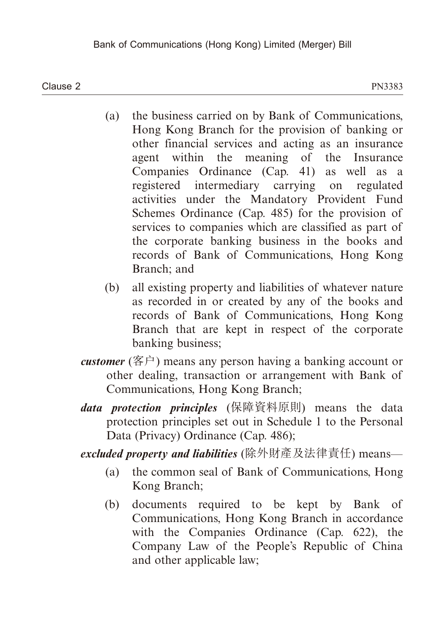Clause 2 Clause 2 and 2012 PN3383

- (a) the business carried on by Bank of Communications, Hong Kong Branch for the provision of banking or other financial services and acting as an insurance agent within the meaning of the Insurance Companies Ordinance (Cap. 41) as well as a registered intermediary carrying on regulated activities under the Mandatory Provident Fund Schemes Ordinance (Cap. 485) for the provision of services to companies which are classified as part of the corporate banking business in the books and records of Bank of Communications, Hong Kong Branch; and
- (b) all existing property and liabilities of whatever nature as recorded in or created by any of the books and records of Bank of Communications, Hong Kong Branch that are kept in respect of the corporate banking business;
- *customer* (客户) means any person having a banking account or other dealing, transaction or arrangement with Bank of Communications, Hong Kong Branch;
- *data protection principles* (保障資料原則) means the data protection principles set out in Schedule 1 to the Personal Data (Privacy) Ordinance (Cap. 486);

*excluded property and liabilities* (除外財產及法律責任) means—

- (a) the common seal of Bank of Communications, Hong Kong Branch;
- (b) documents required to be kept by Bank of Communications, Hong Kong Branch in accordance with the Companies Ordinance (Cap. 622), the Company Law of the People's Republic of China and other applicable law;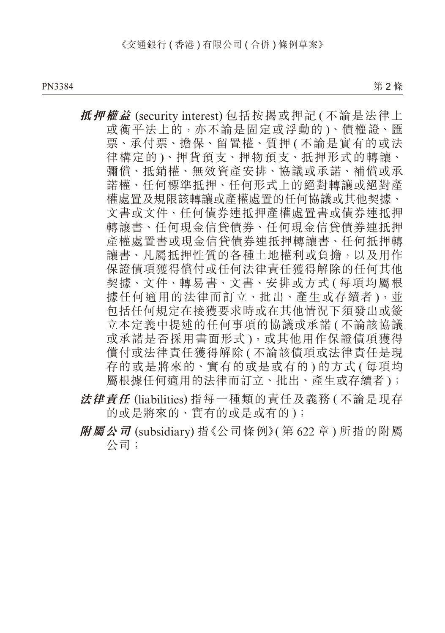PN3384 アンディスク アンディスク かんしゃ アンディスク かんしゃ アクセス 第 2 條 アンディスク かんしょう かんしょう かんしょう アイスタイル こうしょう

第 2 條

- **抵押權益** (security interest) 包括按揭或押記 ( 不論是法律上 或衡平法上的,亦不論是固定或浮動的 )、債權證、匯 票、承付票、擔保、留置權、質押 ( 不論是實有的或法 律構定的 )、押貨預支、押物預支、抵押形式的轉讓、 彌償、抵銷權、無效資產安排、協議或承諾、補償或承 諾權、任何標準抵押、任何形式上的絕對轉讓或絕對產 權處置及規限該轉讓或產權處置的任何協議或其他契據、 文書或文件、任何債券連抵押產權處置書或債券連抵押 轉讓書、任何現金信貸債券、任何現金信貸債券連抵押 產權處置書或現金信貸債券連抵押轉讓書、任何抵押轉 讓書、凡屬抵押性質的各種土地權利或負擔,以及用作 保證債項獲得償付或任何法律責任獲得解除的任何其他 契據、文件、轉易書、文書、安排或方式 ( 每項均屬根 據任何適用的法律而訂立、批出、產生或存續者),並 包括任何規定在接獲要求時或在其他情況下須發出或簽 立本定義中提述的任何事項的協議或承諾 ( 不論該協議 或承諾是否採用書面形式 ),或其他用作保證債項獲得 償付或法律責任獲得解除 ( 不論該債項或法律責任是現 存的或是將來的、實有的或是或有的 ) 的方式 ( 每項均 屬根據任何適用的法律而訂立、批出、產生或存續者 );
- **法律責任** (liabilities) 指每一種類的責任及義務 ( 不論是現存 的或是將來的、實有的或是或有的 );
- **附屬公司** (subsidiary) 指《公司條例》( 第 622 章 ) 所指的附屬 公司;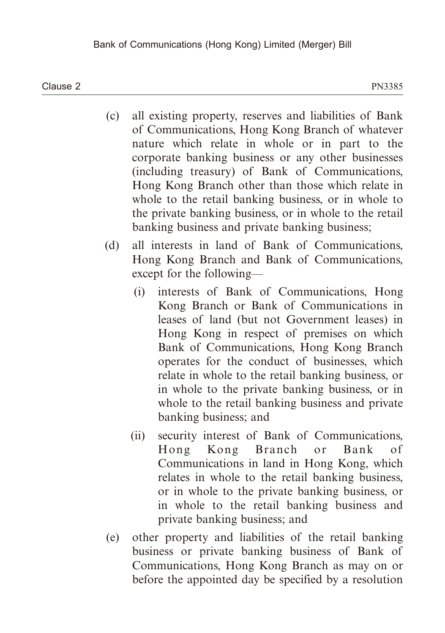Clause 2 Clause 2 and 2012 PN3385

- (c) all existing property, reserves and liabilities of Bank of Communications, Hong Kong Branch of whatever nature which relate in whole or in part to the corporate banking business or any other businesses (including treasury) of Bank of Communications, Hong Kong Branch other than those which relate in whole to the retail banking business, or in whole to the private banking business, or in whole to the retail banking business and private banking business;
- (d) all interests in land of Bank of Communications, Hong Kong Branch and Bank of Communications, except for the following—
	- (i) interests of Bank of Communications, Hong Kong Branch or Bank of Communications in leases of land (but not Government leases) in Hong Kong in respect of premises on which Bank of Communications, Hong Kong Branch operates for the conduct of businesses, which relate in whole to the retail banking business, or in whole to the private banking business, or in whole to the retail banking business and private banking business; and
	- (ii) security interest of Bank of Communications, Hong Kong Branch or Bank of Communications in land in Hong Kong, which relates in whole to the retail banking business, or in whole to the private banking business, or in whole to the retail banking business and private banking business; and
- (e) other property and liabilities of the retail banking business or private banking business of Bank of Communications, Hong Kong Branch as may on or before the appointed day be specified by a resolution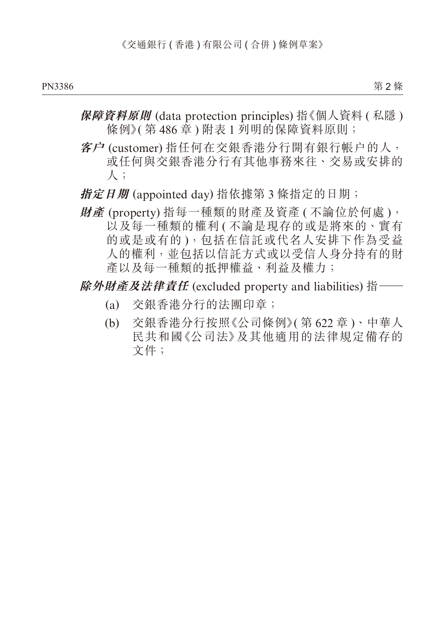- **保障資料原則** (data protection principles) 指《個人資料 ( 私隱 ) 條例》(第486章)附表1列明的保障資料原則;
- **客户** (customer) 指任何在交銀香港分行開有銀行帳户的人, 或任何與交銀香港分行有其他事務來往、交易或安排的 人;
- **指定日期** (appointed day) 指依據第 3 條指定的日期;
- **財產** (property) 指每一種類的財產及資產 ( 不論位於何處 ), 以及每一種類的權利 ( 不論是現存的或是將來的、實有 的或是或有的 ),包括在信託或代名人安排下作為受益 人的權利,並包括以信託方式或以受信人身分持有的財 產以及每一種類的抵押權益、利益及權力;
- **除外財產及法律責任** (excluded property and liabilities) 指——
	- (a) 交銀香港分行的法團印章;
	- (b) 交銀香港分行按照《公司條例》( 第 622 章 )、中華人 民共和國《公司法》及其他適用的法律規定備存的 文件;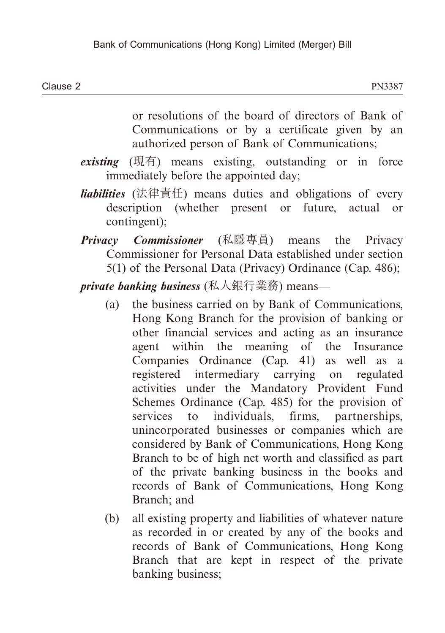or resolutions of the board of directors of Bank of Communications or by a certificate given by an authorized person of Bank of Communications;

- *existing* (現有) means existing, outstanding or in force immediately before the appointed day;
- *liabilities* (法律責任) means duties and obligations of every description (whether present or future, actual or contingent);
- *Privacy Commissioner* (私隱專員) means the Privacy Commissioner for Personal Data established under section 5(1) of the Personal Data (Privacy) Ordinance (Cap. 486);

*private banking business* (私人銀行業務) means—

- (a) the business carried on by Bank of Communications, Hong Kong Branch for the provision of banking or other financial services and acting as an insurance agent within the meaning of the Insurance Companies Ordinance (Cap. 41) as well as a registered intermediary carrying on regulated activities under the Mandatory Provident Fund Schemes Ordinance (Cap. 485) for the provision of services to individuals, firms, partnerships, unincorporated businesses or companies which are considered by Bank of Communications, Hong Kong Branch to be of high net worth and classified as part of the private banking business in the books and records of Bank of Communications, Hong Kong Branch; and
- (b) all existing property and liabilities of whatever nature as recorded in or created by any of the books and records of Bank of Communications, Hong Kong Branch that are kept in respect of the private banking business;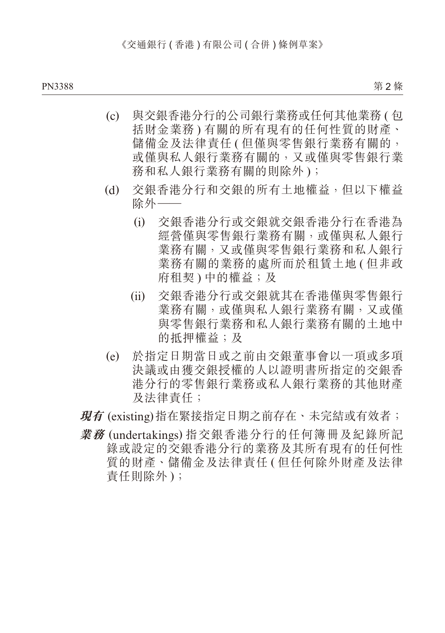PN3388 PN3389

第 2 條

- (c) 與交銀香港分行的公司銀行業務或任何其他業務 ( 包 括財金業務 ) 有關的所有現有的任何性質的財產、 儲備金及法律責任 ( 但僅與零售銀行業務有關的, 或僅與私人銀行業務有關的,又或僅與零售銀行業 務和私人銀行業務有關的則除外 );
- (d) 交銀香港分行和交銀的所有土地權益,但以下權益 除外–
	- (i) 交銀香港分行或交銀就交銀香港分行在香港為 經營僅與零售銀行業務有關,或僅與私人銀行 業務有關,又或僅與零售銀行業務和私人銀行 業務有關的業務的處所而於租賃土地 ( 但非政 府租契 ) 中的權益;及
	- (ii) 交銀香港分行或交銀就其在香港僅與零售銀行 業務有關,或僅與私人銀行業務有關,又或僅 與零售銀行業務和私人銀行業務有關的土地中 的抵押權益;及
- (e) 於指定日期當日或之前由交銀董事會以一項或多項 決議或由獲交銀授權的人以證明書所指定的交銀香 港分行的零售銀行業務或私人銀行業務的其他財產 及法律責任;

**現有** (existing)指在緊接指定日期之前存在、未完結或有效者;

**業務** (undertakings) 指交銀香港分行的任何簿冊及紀錄所記 錄或設定的交銀香港分行的業務及其所有現有的任何性 質的財產、儲備金及法律責任 ( 但任何除外財產及法律 責任則除外 );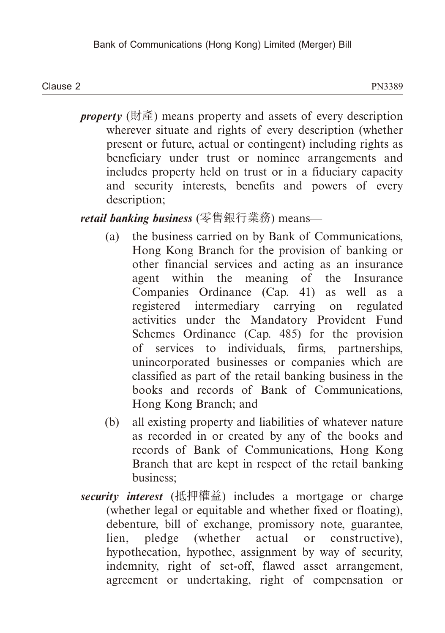| Clause ∠ | PN3389 |
|----------|--------|
|          |        |

*property* (財產) means property and assets of every description wherever situate and rights of every description (whether present or future, actual or contingent) including rights as beneficiary under trust or nominee arrangements and includes property held on trust or in a fiduciary capacity and security interests, benefits and powers of every description;

*retail banking business* (零售銀行業務) means—

- (a) the business carried on by Bank of Communications, Hong Kong Branch for the provision of banking or other financial services and acting as an insurance agent within the meaning of the Insurance Companies Ordinance (Cap. 41) as well as a registered intermediary carrying on regulated activities under the Mandatory Provident Fund Schemes Ordinance (Cap. 485) for the provision of services to individuals, firms, partnerships, unincorporated businesses or companies which are classified as part of the retail banking business in the books and records of Bank of Communications, Hong Kong Branch; and
- (b) all existing property and liabilities of whatever nature as recorded in or created by any of the books and records of Bank of Communications, Hong Kong Branch that are kept in respect of the retail banking business;
- *security interest* (抵押權益) includes a mortgage or charge (whether legal or equitable and whether fixed or floating), debenture, bill of exchange, promissory note, guarantee, lien, pledge (whether actual or constructive), hypothecation, hypothec, assignment by way of security, indemnity, right of set-off, flawed asset arrangement, agreement or undertaking, right of compensation or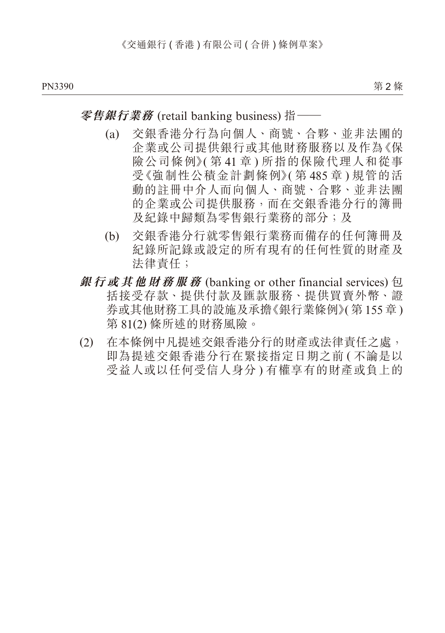#### **零售銀行業務** (retail banking business) 指——

- (a) 交銀香港分行為向個人、商號、合夥、並非法團的 企業或公司提供銀行或其他財務服務以及作為《保 險公司條例》( 第 41 章 ) 所指的保險代理人和從事 受《強制性公積金計劃條例》( 第 485 章 ) 規管的活 動的註冊中介人而向個人、商號、合夥、並非法團 的企業或公司提供服務,而在交銀香港分行的簿冊 及紀錄中歸類為零售銀行業務的部分;及
- (b) 交銀香港分行就零售銀行業務而備存的任何簿冊及 紀錄所記錄或設定的所有現有的任何性質的財產及 法律責任;
- **銀行或其他財務服務** (banking or other financial services) 包 括接受存款、提供付款及匯款服務、提供買賣外幣、證 券或其他財務工具的設施及承擔《銀行業條例》( 第 155 章 ) 第 81(2) 條所述的財務風險。
- (2) 在本條例中凡提述交銀香港分行的財產或法律責任之處, 即為提述交銀香港分行在緊接指定日期之前 ( 不論是以 受益人或以任何受信人身分 ) 有權享有的財產或負上的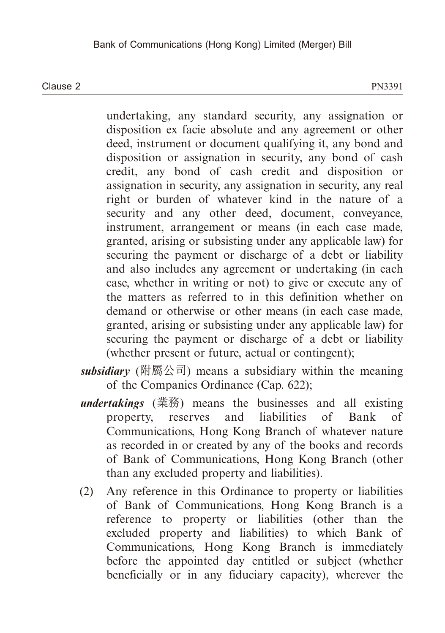#### Clause 2 Clause 2 and 2012 PN3391

undertaking, any standard security, any assignation or disposition ex facie absolute and any agreement or other deed, instrument or document qualifying it, any bond and disposition or assignation in security, any bond of cash credit, any bond of cash credit and disposition or assignation in security, any assignation in security, any real right or burden of whatever kind in the nature of a security and any other deed, document, conveyance, instrument, arrangement or means (in each case made, granted, arising or subsisting under any applicable law) for securing the payment or discharge of a debt or liability and also includes any agreement or undertaking (in each case, whether in writing or not) to give or execute any of the matters as referred to in this definition whether on demand or otherwise or other means (in each case made, granted, arising or subsisting under any applicable law) for securing the payment or discharge of a debt or liability (whether present or future, actual or contingent);

- *subsidiary* (附屬公司) means a subsidiary within the meaning of the Companies Ordinance (Cap. 622);
- *undertakings* (業務) means the businesses and all existing property, reserves and liabilities of Bank of Communications, Hong Kong Branch of whatever nature as recorded in or created by any of the books and records of Bank of Communications, Hong Kong Branch (other than any excluded property and liabilities).
- (2) Any reference in this Ordinance to property or liabilities of Bank of Communications, Hong Kong Branch is a reference to property or liabilities (other than the excluded property and liabilities) to which Bank of Communications, Hong Kong Branch is immediately before the appointed day entitled or subject (whether beneficially or in any fiduciary capacity), wherever the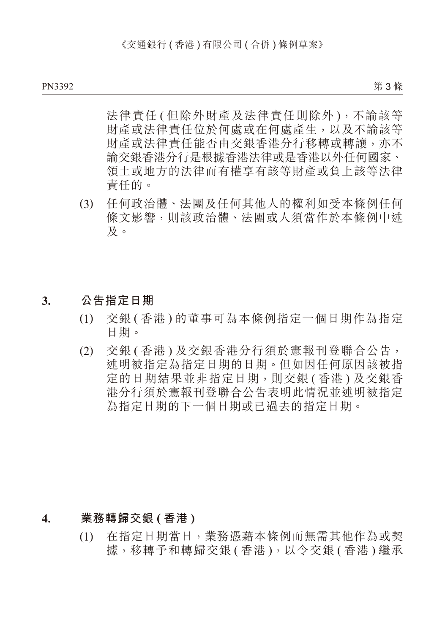第3條

 法律責任 ( 但除外財產及法律責任則除外 ),不論該等 財產或法律責任位於何處或在何處產生,以及不論該等 財產或法律責任能否由交銀香港分行移轉或轉讓,亦不 論交銀香港分行是根據香港法律或是香港以外任何國家、 領土或地方的法律而有權享有該等財產或負上該等法律 責任的。

- (3) 任何政治體、法團及任何其他人的權利如受本條例任何 條文影響,則該政治體、法團或人須當作於本條例中述 及。
- **3. 公告指定日期**
	- (1) 交銀 ( 香港 ) 的董事可為本條例指定一個日期作為指定 日期。
	- (2) 交銀 ( 香港 ) 及交銀香港分行須於憲報刊登聯合公告, 述明被指定為指定日期的日期。但如因任何原因該被指 定的日期結果並非指定日期,則交銀(香港)及交銀香 港分行須於憲報刊登聯合公告表明此情況並述明被指定 為指定日期的下一個日期或已過去的指定日期。

#### **4. 業務轉歸交銀 ( 香港 )**

(1) 在指定日期當日,業務憑藉本條例而無需其他作為或契 據,移轉予和轉歸交銀 ( 香港 ), 以今交銀 ( 香港 ) 繼承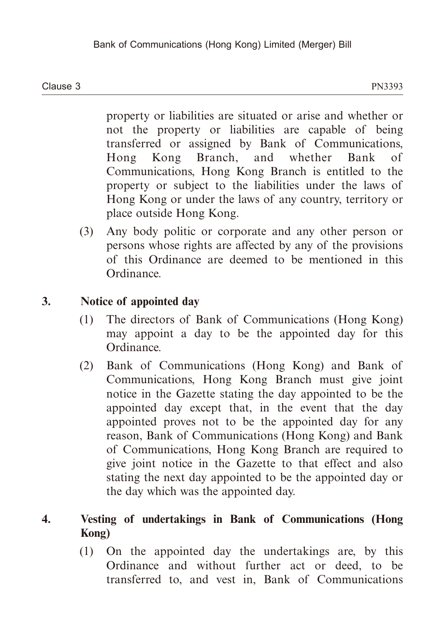Clause 3 Clause 3 and 2012 PN3393 PN3393

property or liabilities are situated or arise and whether or not the property or liabilities are capable of being transferred or assigned by Bank of Communications, Hong Kong Branch, and whether Bank of Communications, Hong Kong Branch is entitled to the property or subject to the liabilities under the laws of Hong Kong or under the laws of any country, territory or place outside Hong Kong.

- (3) Any body politic or corporate and any other person or persons whose rights are affected by any of the provisions of this Ordinance are deemed to be mentioned in this Ordinance.
- **3. Notice of appointed day**
	- (1) The directors of Bank of Communications (Hong Kong) may appoint a day to be the appointed day for this Ordinance.
	- (2) Bank of Communications (Hong Kong) and Bank of Communications, Hong Kong Branch must give joint notice in the Gazette stating the day appointed to be the appointed day except that, in the event that the day appointed proves not to be the appointed day for any reason, Bank of Communications (Hong Kong) and Bank of Communications, Hong Kong Branch are required to give joint notice in the Gazette to that effect and also stating the next day appointed to be the appointed day or the day which was the appointed day.

### **4. Vesting of undertakings in Bank of Communications (Hong Kong)**

(1) On the appointed day the undertakings are, by this Ordinance and without further act or deed, to be transferred to, and vest in, Bank of Communications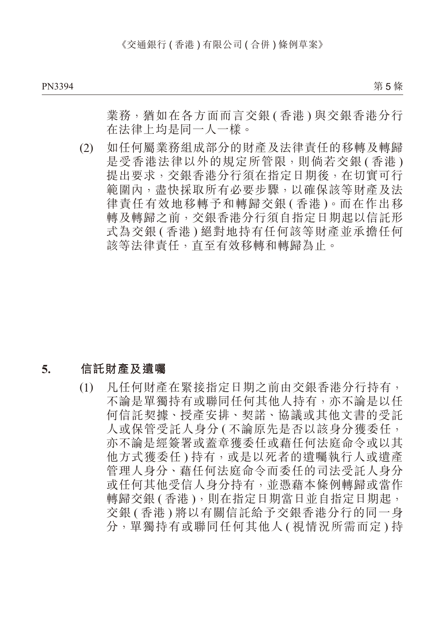第 5 條

業務,猶如在各方面而言交銀 ( 香港 ) 與交銀香港分行 在法律上均是同一人一樣。

(2) 如任何屬業務組成部分的財產及法律責任的移轉及轉歸 是受香港法律以外的規定所管限,則倘若交銀 ( 香港 ) 提出要求,交銀香港分行須在指定日期後,在切實可行 範圍內,盡快採取所有必要步驟,以確保該等財產及法 律責任有效地移轉予和轉歸交銀 ( 香港 )。而在作出移 轉及轉歸之前,交銀香港分行須自指定日期起以信託形 式為交銀 ( 香港 ) 絕對地持有任何該等財產並承擔任何 該等法律責任,直至有效移轉和轉歸為止。

#### **5. 信託財產及遺囑**

(1) 凡任何財產在緊接指定日期之前由交銀香港分行持有, 不論是單獨持有或聯同任何其他人持有,亦不論是以任 何信託契據、授產安排、契諾、協議或其他文書的受託 人或保管受託人身分 ( 不論原先是否以該身分獲委任, 亦不論是經簽署或蓋章獲委任或藉任何法庭命令或以其 他方式獲委任 ) 持有,或是以死者的遺囑執行人或遺產 管理人身分、藉任何法庭命令而委任的司法受託人身分 或任何其他受信人身分持有,並憑藉本條例轉歸或當作 轉歸交銀 ( 香港 ), 則在指定日期當日並自指定日期起, 交銀 ( 香港 ) 將以有關信託給予交銀香港分行的同一身 分,單獨持有或聯同任何其他人 ( 視情況所需而定 ) 持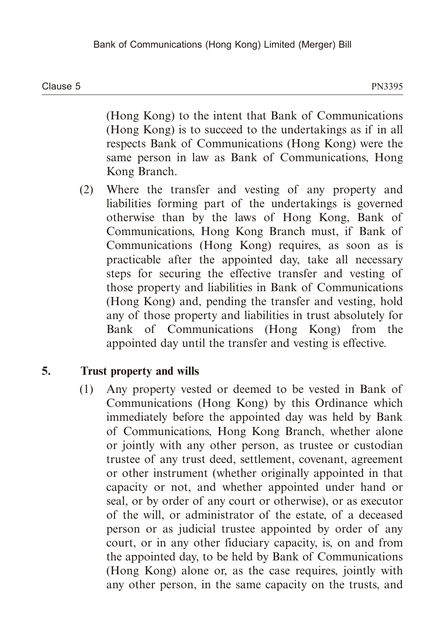Clause 5 Clause 5 and 2012 PN3395

(Hong Kong) to the intent that Bank of Communications (Hong Kong) is to succeed to the undertakings as if in all respects Bank of Communications (Hong Kong) were the same person in law as Bank of Communications, Hong Kong Branch.

(2) Where the transfer and vesting of any property and liabilities forming part of the undertakings is governed otherwise than by the laws of Hong Kong, Bank of Communications, Hong Kong Branch must, if Bank of Communications (Hong Kong) requires, as soon as is practicable after the appointed day, take all necessary steps for securing the effective transfer and vesting of those property and liabilities in Bank of Communications (Hong Kong) and, pending the transfer and vesting, hold any of those property and liabilities in trust absolutely for Bank of Communications (Hong Kong) from the appointed day until the transfer and vesting is effective.

### **5. Trust property and wills**

(1) Any property vested or deemed to be vested in Bank of Communications (Hong Kong) by this Ordinance which immediately before the appointed day was held by Bank of Communications, Hong Kong Branch, whether alone or jointly with any other person, as trustee or custodian trustee of any trust deed, settlement, covenant, agreement or other instrument (whether originally appointed in that capacity or not, and whether appointed under hand or seal, or by order of any court or otherwise), or as executor of the will, or administrator of the estate, of a deceased person or as judicial trustee appointed by order of any court, or in any other fiduciary capacity, is, on and from the appointed day, to be held by Bank of Communications (Hong Kong) alone or, as the case requires, jointly with any other person, in the same capacity on the trusts, and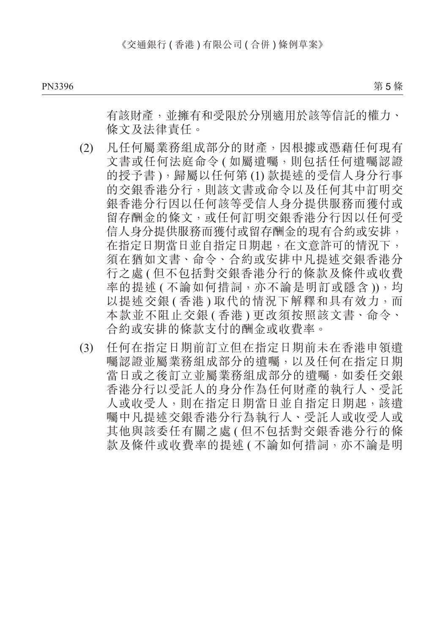第 5 條

 有該財產,並擁有和受限於分別適用於該等信託的權力、 條文及法律責任。

- (2) 凡任何屬業務組成部分的財產,因根據或憑藉任何現有 文書或任何法庭命令 (如屬遺囑,則包括任何遺囑認證 的授予書),歸屬以任何第(1)款提述的受信人身分行事 的交銀香港分行,則該文書或命令以及任何其中訂明交 銀香港分行因以任何該等受信人身分提供服務而獲付或 留存酬金的條文,或任何訂明交銀香港分行因以任何受 信人身分提供服務而獲付或留存酬金的現有合約或安排, 在指定日期當日並自指定日期起,在文意許可的情況下, 須在猶如文書、命令、合約或安排中凡提述交銀香港分 行之處 ( 但不包括對交銀香港分行的條款及條件或收費 率的提述 ( 不論如何措詞, 亦不論是明訂或隱含 )), 均 以提述交銀 ( 香港 ) 取代的情況下解釋和具有效力, 而 本款並不阻止交銀 ( 香港 ) 更改須按照該文書、命令、 合約或安排的條款支付的酬金或收費率。
- (3) 任何在指定日期前訂立但在指定日期前未在香港申領遺 囑認證並屬業務組成部分的遺囑,以及任何在指定日期 當日或之後訂立並屬業務組成部分的遺囑,如委任交銀 香港分行以受託人的身分作為任何財產的執行人、受託 人或收受人,則在指定日期當日並自指定日期起,該遺 囑中凡提述交銀香港分行為執行人、受託人或收受人或 其他與該委任有關之處 ( 但不包括對交銀香港分行的條 款及條件或收費率的提述 ( 不論如何措詞, 亦不論是明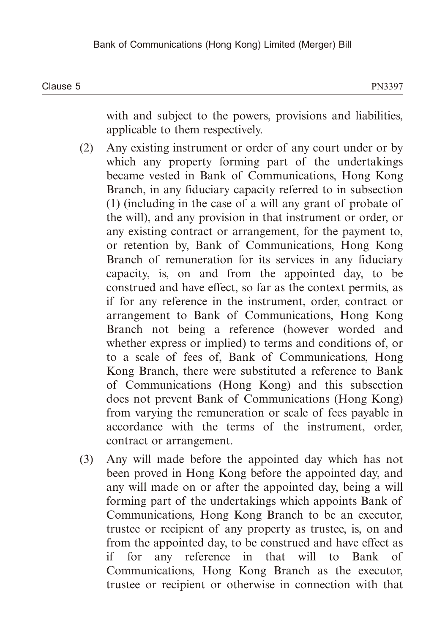with and subject to the powers, provisions and liabilities, applicable to them respectively.

- (2) Any existing instrument or order of any court under or by which any property forming part of the undertakings became vested in Bank of Communications, Hong Kong Branch, in any fiduciary capacity referred to in subsection (1) (including in the case of a will any grant of probate of the will), and any provision in that instrument or order, or any existing contract or arrangement, for the payment to, or retention by, Bank of Communications, Hong Kong Branch of remuneration for its services in any fiduciary capacity, is, on and from the appointed day, to be construed and have effect, so far as the context permits, as if for any reference in the instrument, order, contract or arrangement to Bank of Communications, Hong Kong Branch not being a reference (however worded and whether express or implied) to terms and conditions of, or to a scale of fees of, Bank of Communications, Hong Kong Branch, there were substituted a reference to Bank of Communications (Hong Kong) and this subsection does not prevent Bank of Communications (Hong Kong) from varying the remuneration or scale of fees payable in accordance with the terms of the instrument, order, contract or arrangement.
- (3) Any will made before the appointed day which has not been proved in Hong Kong before the appointed day, and any will made on or after the appointed day, being a will forming part of the undertakings which appoints Bank of Communications, Hong Kong Branch to be an executor, trustee or recipient of any property as trustee, is, on and from the appointed day, to be construed and have effect as if for any reference in that will to Bank of Communications, Hong Kong Branch as the executor, trustee or recipient or otherwise in connection with that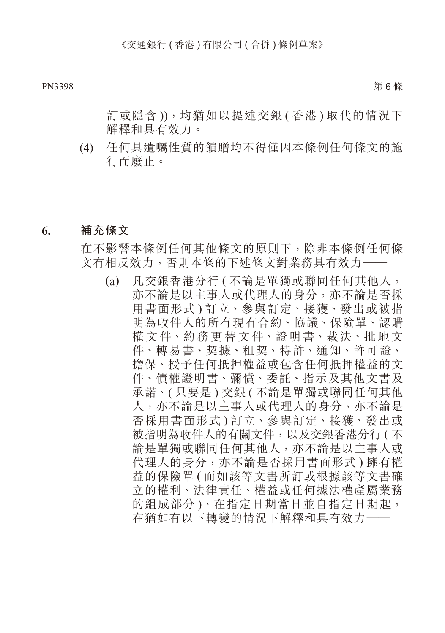訂或隱含)),均猶如以提述交銀(香港)取代的情況下 解釋和具有效力。

(4) 任何具遺囑性質的饋贈均不得僅因本條例任何條文的施 行而廢止。

#### **6. 補充條文**

在不影響本條例任何其他條文的原則下,除非本條例任何條 文有相反效力,否則本條的下述條文對業務具有效力——

(a) 凡交銀香港分行 ( 不論是單獨或聯同任何其他人, 亦不論是以主事人或代理人的身分,亦不論是否採 用書面形式 ) 訂立、參與訂定、接獲、發出或被指 明為收件人的所有現有合約、協議、保險單、認購 權文件、約務更替文件、證明書、裁決、批地文 件、轉易書、契據、租契、特許、通知、許可證、 擔保、授予任何抵押權益或包含任何抵押權益的文 件、債權證明書、彌償、委託、指示及其他文書及 承諾、( 只要是 ) 交銀 ( 不論是單獨或聯同任何其他 人,亦不論是以主事人或代理人的身分,亦不論是 否採用書面形式 ) 訂立、參與訂定、接獲、發出或 被指明為收件人的有關文件,以及交銀香港分行 ( 不 論是單獨或聯同任何其他人,亦不論是以主事人或 代理人的身分,亦不論是否採用書面形式 ) 擁有權 益的保險單 ( 而如該等文書所訂或根據該等文書確 立的權利、法律責任、權益或任何據法權產屬業務 的組成部分), 在指定日期當日並自指定日期起, 在猶如有以下轉變的情況下解釋和具有效力——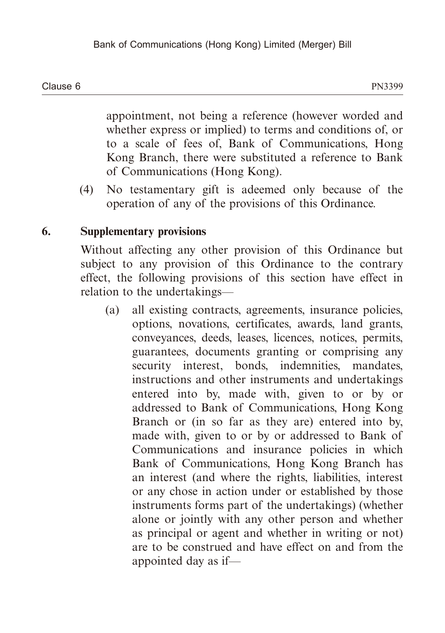Clause 6 Clause 6 and 2012 PN3399 PN3399

appointment, not being a reference (however worded and whether express or implied) to terms and conditions of, or to a scale of fees of, Bank of Communications, Hong Kong Branch, there were substituted a reference to Bank of Communications (Hong Kong).

(4) No testamentary gift is adeemed only because of the operation of any of the provisions of this Ordinance.

### **6. Supplementary provisions**

Without affecting any other provision of this Ordinance but subject to any provision of this Ordinance to the contrary effect, the following provisions of this section have effect in relation to the undertakings—

(a) all existing contracts, agreements, insurance policies, options, novations, certificates, awards, land grants, conveyances, deeds, leases, licences, notices, permits, guarantees, documents granting or comprising any security interest, bonds, indemnities, mandates, instructions and other instruments and undertakings entered into by, made with, given to or by or addressed to Bank of Communications, Hong Kong Branch or (in so far as they are) entered into by, made with, given to or by or addressed to Bank of Communications and insurance policies in which Bank of Communications, Hong Kong Branch has an interest (and where the rights, liabilities, interest or any chose in action under or established by those instruments forms part of the undertakings) (whether alone or jointly with any other person and whether as principal or agent and whether in writing or not) are to be construed and have effect on and from the appointed day as if—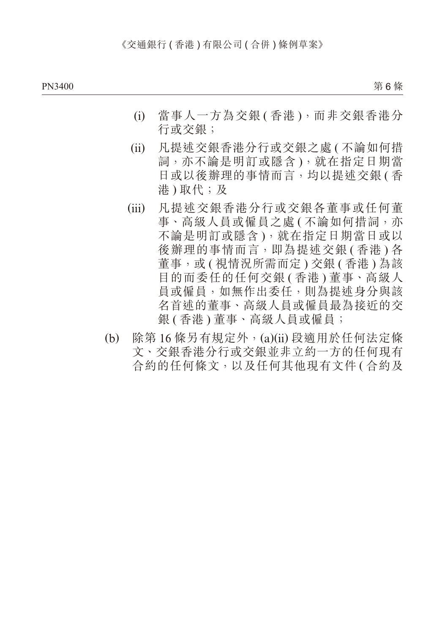第6條

- (i) 當事人一方為交銀 ( 香港 ),而非交銀香港分 行或交銀;
- (ii) 凡提述交銀香港分行或交銀之處 ( 不論如何措 詞,亦不論是明訂或隱含 ),就在指定日期當 日或以後辦理的事情而言,均以提述交銀 ( 香 港 ) 取代;及
- (iii) 凡提述交銀香港分行或交銀各董事或任何董 事、高級人員或僱員之處 ( 不論如何措詞, 亦 不論是明訂或隱含 ),就在指定日期當日或以 後辦理的事情而言,即為提述交銀 ( 香港 ) 各 董事,或 ( 視情況所需而定 ) 交銀 ( 香港 ) 為該 目的而委任的任何交銀 ( 香港 ) 董事、高級人 員或僱員,如無作出委任,則為提述身分與該 名首述的董事、高級人員或僱員最為接近的交 銀 ( 香港 ) 董事、高級人員或僱員;
- (b) 除第 16 條另有規定外,(a)(ii) 段適用於任何法定條 文、交銀香港分行或交銀並非立約一方的任何現有 合約的任何條文,以及任何其他現有文件 ( 合約及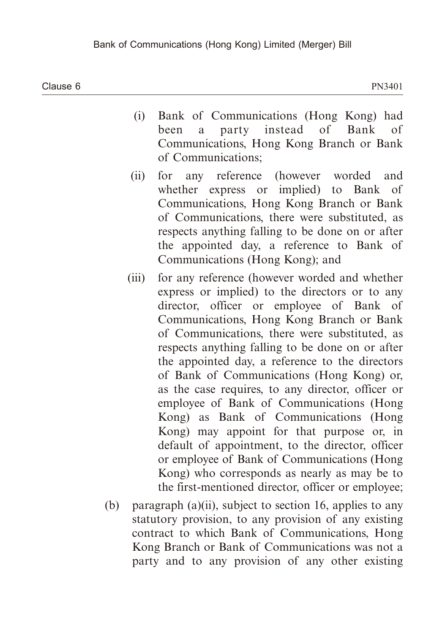Clause 6  $\blacksquare$  PN3401

- (i) Bank of Communications (Hong Kong) had been a party instead of Bank of Communications, Hong Kong Branch or Bank of Communications;
- (ii) for any reference (however worded and whether express or implied) to Bank of Communications, Hong Kong Branch or Bank of Communications, there were substituted, as respects anything falling to be done on or after the appointed day, a reference to Bank of Communications (Hong Kong); and
- (iii) for any reference (however worded and whether express or implied) to the directors or to any director, officer or employee of Bank of Communications, Hong Kong Branch or Bank of Communications, there were substituted, as respects anything falling to be done on or after the appointed day, a reference to the directors of Bank of Communications (Hong Kong) or, as the case requires, to any director, officer or employee of Bank of Communications (Hong Kong) as Bank of Communications (Hong Kong) may appoint for that purpose or, in default of appointment, to the director, officer or employee of Bank of Communications (Hong Kong) who corresponds as nearly as may be to the first-mentioned director, officer or employee;
- (b) paragraph (a)(ii), subject to section 16, applies to any statutory provision, to any provision of any existing contract to which Bank of Communications, Hong Kong Branch or Bank of Communications was not a party and to any provision of any other existing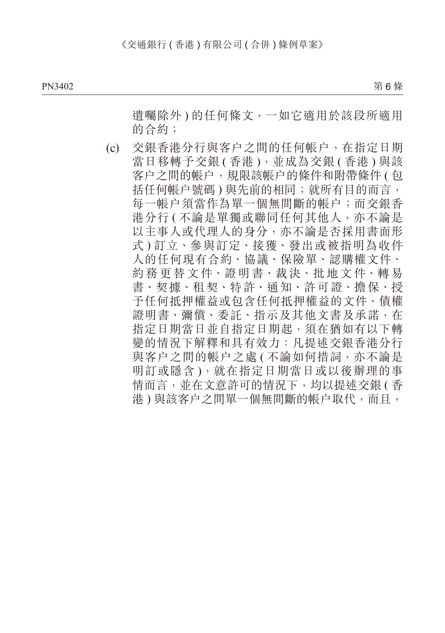第6條

 遺囑除外 ) 的任何條文,一如它適用於該段所適用 的合約;

(c) 交銀香港分行與客户之間的任何帳户,在指定日期 當日移轉予交銀 ( 香港 ), 並成為交銀 ( 香港 ) 與該 客户之間的帳户,規限該帳户的條件和附帶條件 ( 包 括任何帳户號碼 ) 與先前的相同;就所有目的而言, 每一帳户須當作為單一個無間斷的帳户;而交銀香 港分行 ( 不論是單獨或聯同任何其他人,亦不論是 以主事人或代理人的身分,亦不論是否採用書面形 式 ) 訂立、參與訂定、接獲、發出或被指明為收件 人的任何現有合約、協議、保險單、認購權文件、 約務更替文件、證明書、裁決、批地文件、轉易 書、契據、租契、特許、通知、許可證、擔保、授 予任何抵押權益或包含任何抵押權益的文件、債權 證明書、彌償、委託、指示及其他文書及承諾,在 指定日期當日並自指定日期起,須在猶如有以下轉 變的情況下解釋和具有效力:凡提述交銀香港分行 與客户之間的帳户之處 ( 不論如何措詞, 亦不論是 明訂或隱含 ),就在指定日期當日或以後辦理的事 情而言,並在文意許可的情況下,均以提述交銀 ( 香 港 ) 與該客户之間單一個無間斷的帳户取代,而且,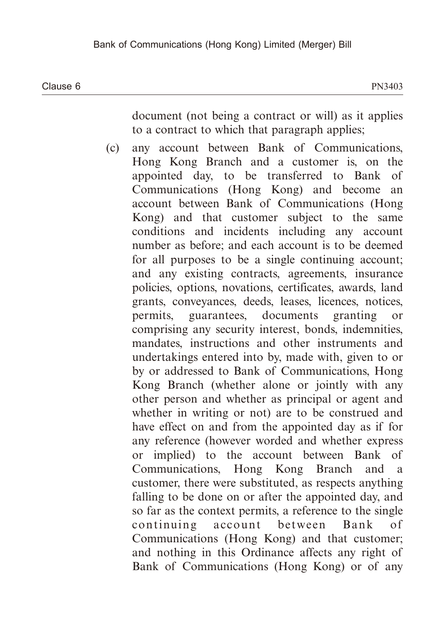document (not being a contract or will) as it applies to a contract to which that paragraph applies;

(c) any account between Bank of Communications, Hong Kong Branch and a customer is, on the appointed day, to be transferred to Bank of Communications (Hong Kong) and become an account between Bank of Communications (Hong Kong) and that customer subject to the same conditions and incidents including any account number as before; and each account is to be deemed for all purposes to be a single continuing account; and any existing contracts, agreements, insurance policies, options, novations, certificates, awards, land grants, conveyances, deeds, leases, licences, notices, permits, guarantees, documents granting or comprising any security interest, bonds, indemnities, mandates, instructions and other instruments and undertakings entered into by, made with, given to or by or addressed to Bank of Communications, Hong Kong Branch (whether alone or jointly with any other person and whether as principal or agent and whether in writing or not) are to be construed and have effect on and from the appointed day as if for any reference (however worded and whether express or implied) to the account between Bank of Communications, Hong Kong Branch and a customer, there were substituted, as respects anything falling to be done on or after the appointed day, and so far as the context permits, a reference to the single continuing account between Bank of Communications (Hong Kong) and that customer; and nothing in this Ordinance affects any right of Bank of Communications (Hong Kong) or of any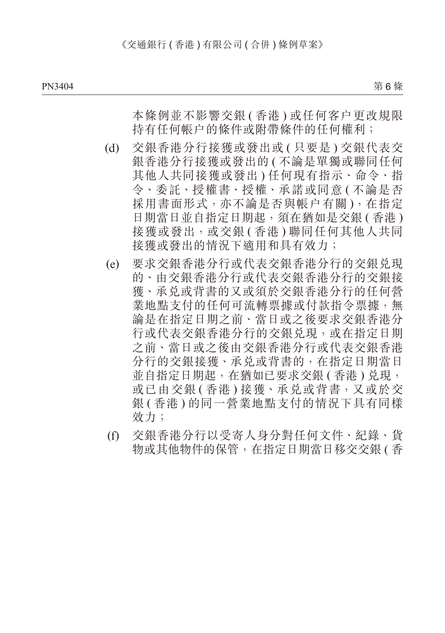本條例並不影響交銀 ( 香港 ) 或任何客户更改規限 持有任何帳户的條件或附帶條件的任何權利;

- (d) 交銀香港分行接獲或發出或 ( 只要是 ) 交銀代表交 銀香港分行接獲或發出的 (不論是單獨或聯同任何 其他人共同接獲或發出 ) 任何現有指示、命令、指 令、委託、授權書、授權、承諾或同意 ( 不論是否 採用書面形式,亦不論是否與帳户有關),在指定 日期當日並自指定日期起,須在猶如是交銀 ( 香港) 接獲或發出,或交銀 ( 香港 ) 聯同任何其他人共同 接獲或發出的情況下適用和具有效力;
- (e) 要求交銀香港分行或代表交銀香港分行的交銀兌現 的、由交銀香港分行或代表交銀香港分行的交銀接 獲、承兌或背書的又或須於交銀香港分行的任何營 業地點支付的任何可流轉票據或付款指令票據,無 論是在指定日期之前、當日或之後要求交銀香港分 行或代表交銀香港分行的交銀兌現,或在指定日期 之前、當日或之後由交銀香港分行或代表交銀香港 分行的交銀接獲、承兌或背書的,在指定日期當日 並自指定日期起,在猶如已要求交銀 ( 香港 ) 兑現, 或已由交銀 ( 香港 ) 接獲、承兑或背書, 又或於交 銀 ( 香港 ) 的同一營業地點支付的情況下具有同樣 效力;
- (f) 交銀香港分行以受寄人身分對任何文件、紀錄、貨 物或其他物件的保管,在指定日期當日移交交銀 ( 香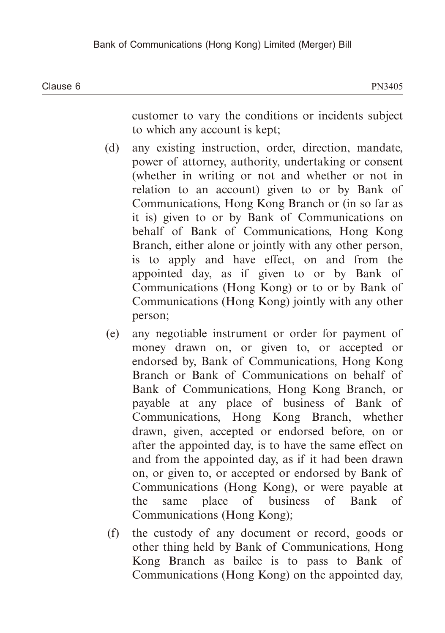customer to vary the conditions or incidents subject to which any account is kept;

- (d) any existing instruction, order, direction, mandate, power of attorney, authority, undertaking or consent (whether in writing or not and whether or not in relation to an account) given to or by Bank of Communications, Hong Kong Branch or (in so far as it is) given to or by Bank of Communications on behalf of Bank of Communications, Hong Kong Branch, either alone or jointly with any other person, is to apply and have effect, on and from the appointed day, as if given to or by Bank of Communications (Hong Kong) or to or by Bank of Communications (Hong Kong) jointly with any other person;
- (e) any negotiable instrument or order for payment of money drawn on, or given to, or accepted or endorsed by, Bank of Communications, Hong Kong Branch or Bank of Communications on behalf of Bank of Communications, Hong Kong Branch, or payable at any place of business of Bank of Communications, Hong Kong Branch, whether drawn, given, accepted or endorsed before, on or after the appointed day, is to have the same effect on and from the appointed day, as if it had been drawn on, or given to, or accepted or endorsed by Bank of Communications (Hong Kong), or were payable at the same place of business of Bank of Communications (Hong Kong);
- (f) the custody of any document or record, goods or other thing held by Bank of Communications, Hong Kong Branch as bailee is to pass to Bank of Communications (Hong Kong) on the appointed day,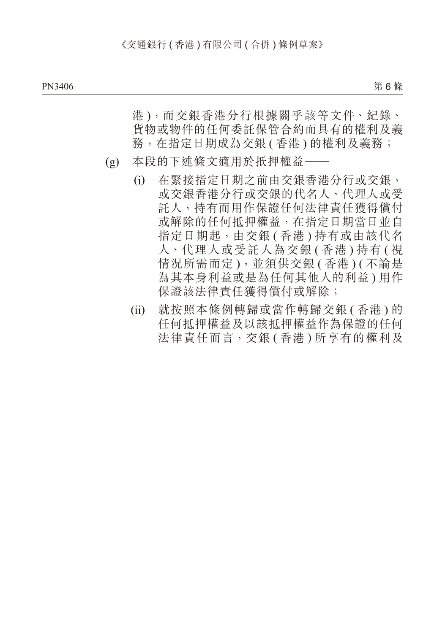第6條

 港 ),而交銀香港分行根據關乎該等文件、紀錄、 貨物或物件的任何委託保管合約而具有的權利及義 務,在指定日期成為交銀 ( 香港 ) 的權利及義務;

- (g) 本段的下述條文適用於抵押權益——
	- (i) 在緊接指定日期之前由交銀香港分行或交銀, 或交銀香港分行或交銀的代名人、代理人或受 託人,持有而用作保證任何法律責任獲得償付 或解除的任何抵押權益,在指定日期當日並自 指定日期起,由交銀(香港)持有或由該代名 人、代理人或受託人為交銀 ( 香港 ) 持有 ( 視 情況所需而定),並須供交銀(香港)(不論是 為其本身利益或是為任何其他人的利益 ) 用作 保證該法律責任獲得償付或解除;
	- (ii) 就按照本條例轉歸或當作轉歸交銀 ( 香港 ) 的 任何抵押權益及以該抵押權益作為保證的任何 法律責任而言,交銀(香港)所享有的權利及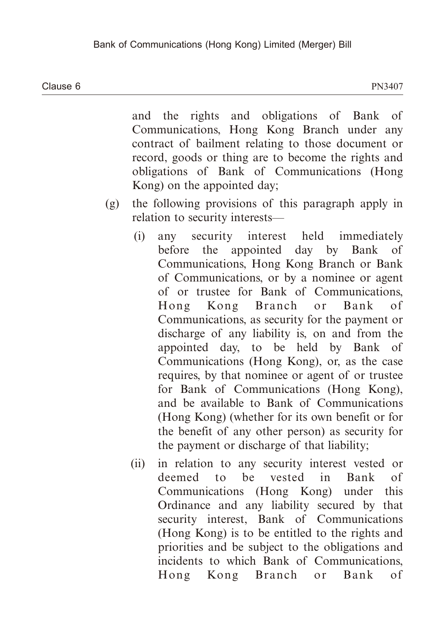and the rights and obligations of Bank of Communications, Hong Kong Branch under any contract of bailment relating to those document or record, goods or thing are to become the rights and obligations of Bank of Communications (Hong Kong) on the appointed day;

- (g) the following provisions of this paragraph apply in relation to security interests—
	- (i) any security interest held immediately before the appointed day by Bank of Communications, Hong Kong Branch or Bank of Communications, or by a nominee or agent of or trustee for Bank of Communications, Hong Kong Branch or Bank of Communications, as security for the payment or discharge of any liability is, on and from the appointed day, to be held by Bank of Communications (Hong Kong), or, as the case requires, by that nominee or agent of or trustee for Bank of Communications (Hong Kong), and be available to Bank of Communications (Hong Kong) (whether for its own benefit or for the benefit of any other person) as security for the payment or discharge of that liability;
	- (ii) in relation to any security interest vested or deemed to be vested in Bank of Communications (Hong Kong) under this Ordinance and any liability secured by that security interest, Bank of Communications (Hong Kong) is to be entitled to the rights and priorities and be subject to the obligations and incidents to which Bank of Communications, Hong Kong Branch or Bank of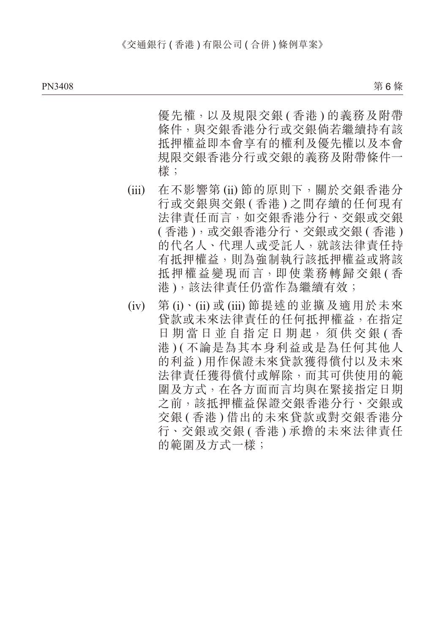第6條 PN3408 PN3409

> 優先權,以及規限交銀(香港)的義務及附帶 條件,與交銀香港分行或交銀倘若繼續持有該 抵押權益即本會享有的權利及優先權以及本會 規限交銀香港分行或交銀的義務及附帶條件一 樣;

- (iii) 在不影響第 (ii) 節的原則下,關於交銀香港分 行或交銀與交銀 ( 香港 ) 之間存續的任何現有 法律責任而言,如交銀香港分行、交銀或交銀 (香港),或交银香港分行、交銀或交銀(香港) 的代名人、代理人或受託人,就該法律責任持 有抵押權益,則為強制執行該抵押權益或將該 抵押權益變現而言,即使業務轉歸交銀(香 港 ),該法律責任仍當作為繼續有效;
- (iv) 第 (i)、(ii) 或 (iii) 節提述的並擴及適用於未來 貸款或未來法律責任的任何抵押權益,在指定 日 期 當 日 並 自 指 定 日 期 起, 須 供 交 銀 ( 香 港 ) ( 不論是為其本身利益或是為任何其他人 的利益 ) 用作保證未來貸款獲得償付以及未來 法律責任獲得償付或解除,而其可供使用的範 圍及方式,在各方面而言均與在緊接指定日期 之前,該抵押權益保證交銀香港分行、交銀或 交銀 ( 香港 ) 借出的未來貸款或對交銀香港分 行、交銀或交銀 ( 香港 ) 承擔的未來法律責任 的範圍及方式一樣;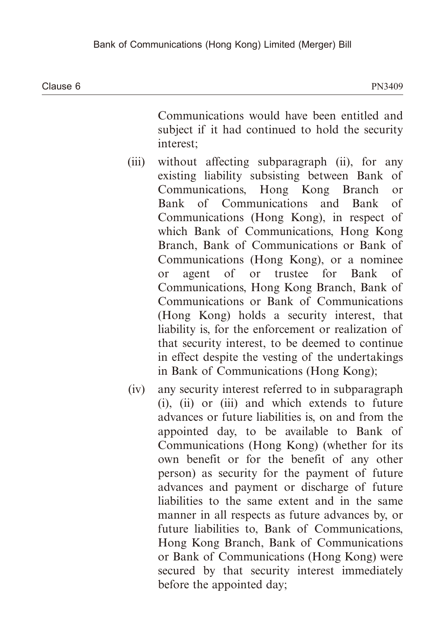Clause 6  $\blacksquare$  PN3409

Communications would have been entitled and subject if it had continued to hold the security interest;

- (iii) without affecting subparagraph (ii), for any existing liability subsisting between Bank of Communications, Hong Kong Branch or Bank of Communications and Bank of Communications (Hong Kong), in respect of which Bank of Communications, Hong Kong Branch, Bank of Communications or Bank of Communications (Hong Kong), or a nominee or agent of or trustee for Bank of Communications, Hong Kong Branch, Bank of Communications or Bank of Communications (Hong Kong) holds a security interest, that liability is, for the enforcement or realization of that security interest, to be deemed to continue in effect despite the vesting of the undertakings in Bank of Communications (Hong Kong);
- (iv) any security interest referred to in subparagraph (i), (ii) or (iii) and which extends to future advances or future liabilities is, on and from the appointed day, to be available to Bank of Communications (Hong Kong) (whether for its own benefit or for the benefit of any other person) as security for the payment of future advances and payment or discharge of future liabilities to the same extent and in the same manner in all respects as future advances by, or future liabilities to, Bank of Communications, Hong Kong Branch, Bank of Communications or Bank of Communications (Hong Kong) were secured by that security interest immediately before the appointed day;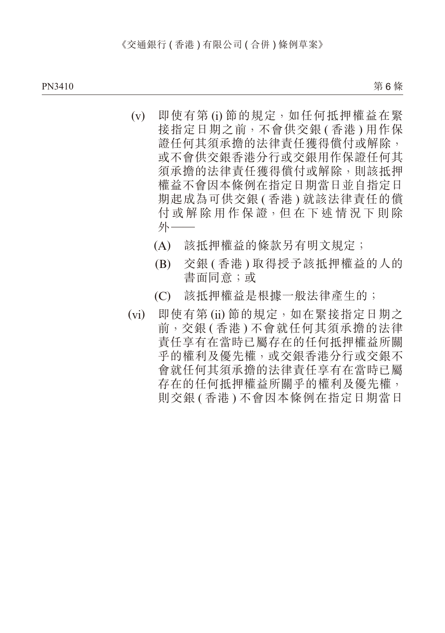PN3410 PN3411

第6條

- (v) 即使有第 (i) 節的規定,如任何抵押權益在緊 接指定日期之前,不會供交銀 ( 香港 ) 用作保 證任何其須承擔的法律責任獲得償付或解除, 或不會供交銀香港分行或交銀用作保證任何其 須承擔的法律責任獲得償付或解除,則該抵押 權益不會因本條例在指定日期當日並自指定日 期起成為可供交銀 ( 香港 ) 就該法律責任的償 付 或 解 除 用 作 保 證,但 在 下 述 情 況 下 則 除 外——
	- (A) 該抵押權益的條款另有明文規定;
	- (B) 交銀 ( 香港 ) 取得授予該抵押權益的人的 書面同意;或
	- (C) 該抵押權益是根據一般法律產生的;
- (vi) 即使有第 (ii) 節的規定,如在緊接指定日期之 前,交銀 ( 香港 ) 不會就任何其須承擔的法律 責任享有在當時已屬存在的任何抵押權益所關 乎的權利及優先權,或交銀香港分行或交銀不 會就任何其須承擔的法律責任享有在當時已屬 存在的任何抵押權益所關乎的權利及優先權, 則交銀 ( 香港 ) 不會因本條例在指定日期當日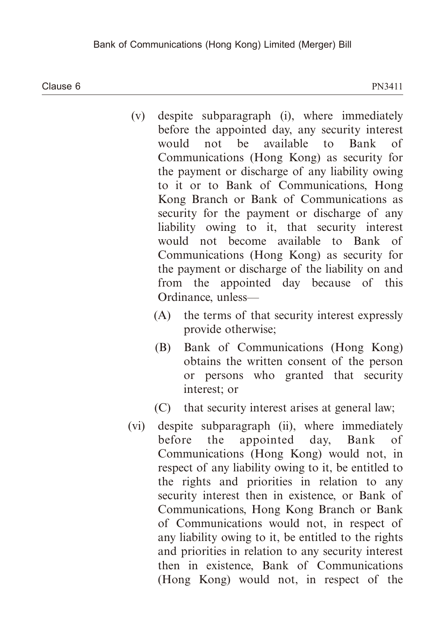Clause 6  $\blacksquare$  PN3411

- (v) despite subparagraph (i), where immediately before the appointed day, any security interest would not be available to Bank of Communications (Hong Kong) as security for the payment or discharge of any liability owing to it or to Bank of Communications, Hong Kong Branch or Bank of Communications as security for the payment or discharge of any liability owing to it, that security interest would not become available to Bank of Communications (Hong Kong) as security for the payment or discharge of the liability on and from the appointed day because of this Ordinance, unless—
	- (A) the terms of that security interest expressly provide otherwise;
	- (B) Bank of Communications (Hong Kong) obtains the written consent of the person or persons who granted that security interest; or
	- (C) that security interest arises at general law;
- (vi) despite subparagraph (ii), where immediately before the appointed day, Bank of Communications (Hong Kong) would not, in respect of any liability owing to it, be entitled to the rights and priorities in relation to any security interest then in existence, or Bank of Communications, Hong Kong Branch or Bank of Communications would not, in respect of any liability owing to it, be entitled to the rights and priorities in relation to any security interest then in existence, Bank of Communications (Hong Kong) would not, in respect of the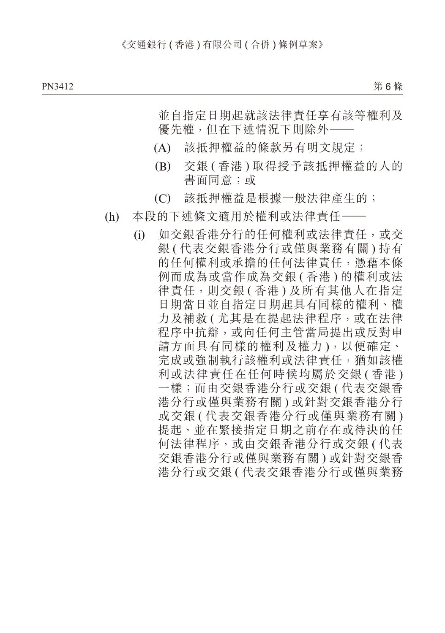第6條

 並自指定日期起就該法律責任享有該等權利及 優先權,但在下述情況下則除外——

- (A) 該抵押權益的條款另有明文規定;
- (B) 交銀 ( 香港 ) 取得授予該抵押權益的人的 書面同意;或
- (C) 該抵押權益是根據一般法律產生的;
- (h) 本段的下述條文適用於權利或法律責任——
	- (i) 如交銀香港分行的任何權利或法律責任,或交 銀(代表交銀香港分行或僅與業務有關)持有 的任何權利或承擔的任何法律責任,憑藉本條 例而成為或當作成為交銀 ( 香港 ) 的權利或法 律責任,則交銀 ( 香港 ) 及所有其他人在指定 日期當日並自指定日期起具有同樣的權利、權 力及補救 ( 尤其是在提起法律程序,或在法律 程序中抗辯,或向任何主管當局提出或反對申 請方面具有同樣的權利及權力 ),以便確定、 完成或強制執行該權利或法律責任,猶如該權 利或法律責任在任何時候均屬於交銀 ( 香港) 一樣;而由交銀香港分行或交銀 ( 代表交銀香 港分行或僅與業務有關 ) 或針對交銀香港分行 或交銀 ( 代表交銀香港分行或僅與業務有關 ) 提起、並在緊接指定日期之前存在或待決的任 何法律程序,或由交銀香港分行或交銀 ( 代表 交銀香港分行或僅與業務有關 ) 或針對交銀香 港分行或交銀 ( 代表交銀香港分行或僅與業務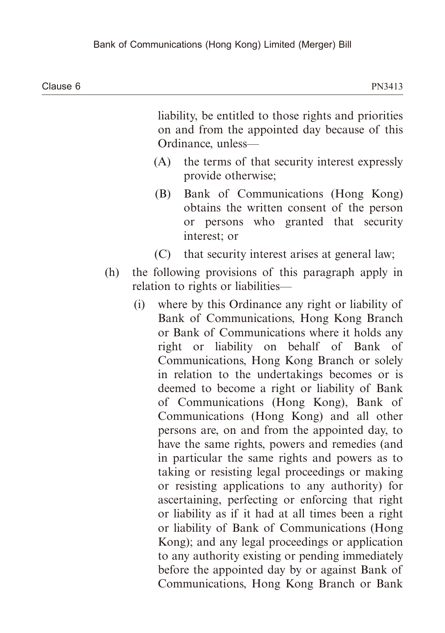liability, be entitled to those rights and priorities on and from the appointed day because of this Ordinance, unless—

- (A) the terms of that security interest expressly provide otherwise;
- (B) Bank of Communications (Hong Kong) obtains the written consent of the person or persons who granted that security interest; or
- (C) that security interest arises at general law;
- (h) the following provisions of this paragraph apply in relation to rights or liabilities—
	- (i) where by this Ordinance any right or liability of Bank of Communications, Hong Kong Branch or Bank of Communications where it holds any right or liability on behalf of Bank of Communications, Hong Kong Branch or solely in relation to the undertakings becomes or is deemed to become a right or liability of Bank of Communications (Hong Kong), Bank of Communications (Hong Kong) and all other persons are, on and from the appointed day, to have the same rights, powers and remedies (and in particular the same rights and powers as to taking or resisting legal proceedings or making or resisting applications to any authority) for ascertaining, perfecting or enforcing that right or liability as if it had at all times been a right or liability of Bank of Communications (Hong Kong); and any legal proceedings or application to any authority existing or pending immediately before the appointed day by or against Bank of Communications, Hong Kong Branch or Bank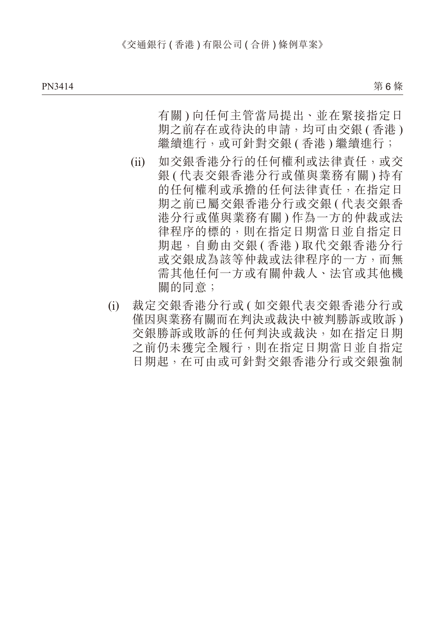有關 ) 向任何主管當局提出、並在緊接指定日 期之前存在或待決的申請,均可由交銀 ( 香港 ) 繼續進行,或可針對交銀 ( 香港 ) 繼續進行;

- (ii) 如交銀香港分行的任何權利或法律責任,或交 銀 (代表交銀香港分行或僅與業務有關) 持有 的任何權利或承擔的任何法律責任,在指定日 期之前已屬交銀香港分行或交銀(代表交銀香 港分行或僅與業務有關 ) 作為一方的仲裁或法 律程序的標的,則在指定日期當日並自指定日 期起,自動由交銀 (香港)取代交銀香港分行 或交銀成為該等仲裁或法律程序的一方,而無 需其他任何一方或有關仲裁人、法官或其他機 關的同意;
- (i) 裁定交銀香港分行或 ( 如交銀代表交銀香港分行或 僅因與業務有關而在判決或裁決中被判勝訴或敗訴 ) 交銀勝訴或敗訴的任何判決或裁決,如在指定日期 之前仍未獲完全履行,則在指定日期當日並自指定 日期起,在可由或可針對交銀香港分行或交銀強制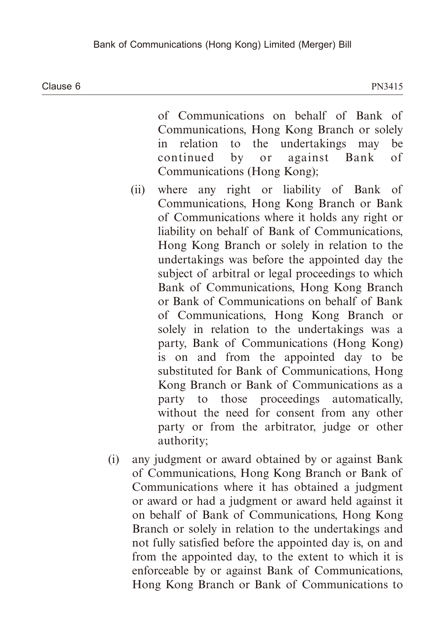Clause 6  $\blacksquare$  PN3415

of Communications on behalf of Bank of Communications, Hong Kong Branch or solely in relation to the undertakings may be continued by or against Bank of Communications (Hong Kong);

- (ii) where any right or liability of Bank of Communications, Hong Kong Branch or Bank of Communications where it holds any right or liability on behalf of Bank of Communications, Hong Kong Branch or solely in relation to the undertakings was before the appointed day the subject of arbitral or legal proceedings to which Bank of Communications, Hong Kong Branch or Bank of Communications on behalf of Bank of Communications, Hong Kong Branch or solely in relation to the undertakings was a party, Bank of Communications (Hong Kong) is on and from the appointed day to be substituted for Bank of Communications, Hong Kong Branch or Bank of Communications as a party to those proceedings automatically, without the need for consent from any other party or from the arbitrator, judge or other authority;
- (i) any judgment or award obtained by or against Bank of Communications, Hong Kong Branch or Bank of Communications where it has obtained a judgment or award or had a judgment or award held against it on behalf of Bank of Communications, Hong Kong Branch or solely in relation to the undertakings and not fully satisfied before the appointed day is, on and from the appointed day, to the extent to which it is enforceable by or against Bank of Communications, Hong Kong Branch or Bank of Communications to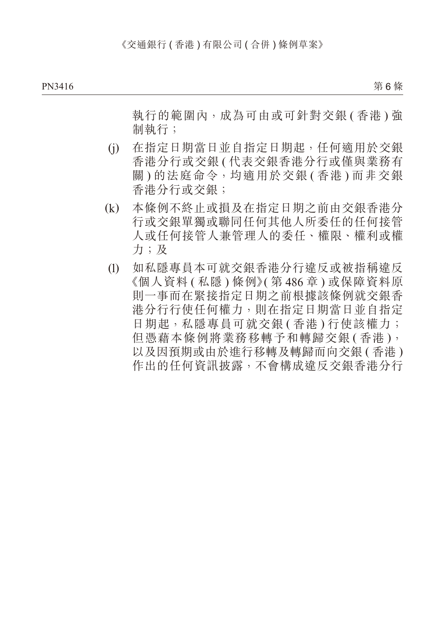第6條

 執行的範圍內,成為可由或可針對交銀 ( 香港 ) 強 制執行;

- (j) 在指定日期當日並自指定日期起,任何適用於交銀 香港分行或交銀 ( 代表交銀香港分行或僅與業務有 關 ) 的法庭命令,均適用於交銀 ( 香港 ) 而非交銀 香港分行或交銀;
- (k) 本條例不終止或損及在指定日期之前由交銀香港分 行或交銀單獨或聯同任何其他人所委任的任何接管 人或任何接管人兼管理人的委任、權限、權利或權 力;及
- (l) 如私隱專員本可就交銀香港分行違反或被指稱違反 《個人資料 ( 私隱 ) 條例》( 第 486 章 ) 或保障資料原 則一事而在緊接指定日期之前根據該條例就交銀香 港分行行使任何權力,則在指定日期當日並自指定 日期起,私隱專員可就交銀 ( 香港 ) 行使該權力; 但憑藉本條例將業務移轉予和轉歸交銀 ( 香港 ), 以及因預期或由於進行移轉及轉歸而向交銀 ( 香港 ) 作出的任何資訊披露,不會構成違反交銀香港分行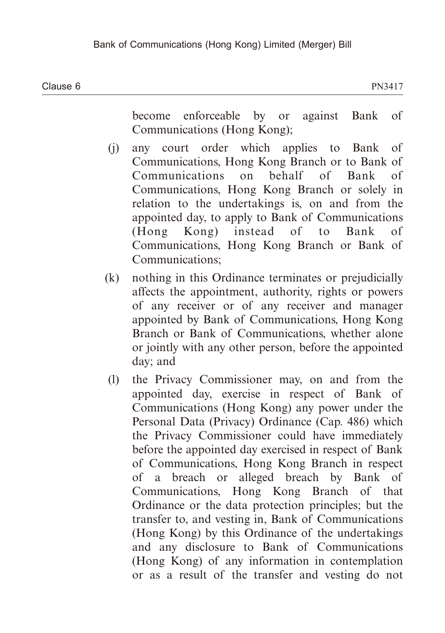become enforceable by or against Bank of Communications (Hong Kong);

- (j) any court order which applies to Bank of Communications, Hong Kong Branch or to Bank of Communications on behalf of Bank of Communications, Hong Kong Branch or solely in relation to the undertakings is, on and from the appointed day, to apply to Bank of Communications (Hong Kong) instead of to Bank of Communications, Hong Kong Branch or Bank of Communications;
- (k) nothing in this Ordinance terminates or prejudicially affects the appointment, authority, rights or powers of any receiver or of any receiver and manager appointed by Bank of Communications, Hong Kong Branch or Bank of Communications, whether alone or jointly with any other person, before the appointed day; and
- (l) the Privacy Commissioner may, on and from the appointed day, exercise in respect of Bank of Communications (Hong Kong) any power under the Personal Data (Privacy) Ordinance (Cap. 486) which the Privacy Commissioner could have immediately before the appointed day exercised in respect of Bank of Communications, Hong Kong Branch in respect of a breach or alleged breach by Bank of Communications, Hong Kong Branch of that Ordinance or the data protection principles; but the transfer to, and vesting in, Bank of Communications (Hong Kong) by this Ordinance of the undertakings and any disclosure to Bank of Communications (Hong Kong) of any information in contemplation or as a result of the transfer and vesting do not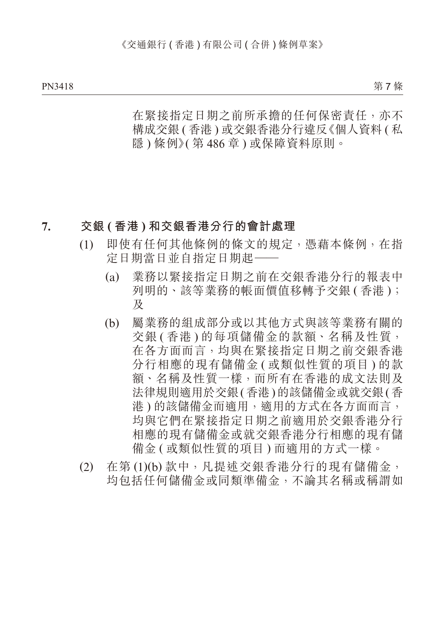第 7 條

 在緊接指定日期之前所承擔的任何保密責任,亦不 構成交銀 ( 香港 ) 或交銀香港分行違反《個人資料 ( 私 隱 ) 條例》( 第 486 章 ) 或保障資料原則。

#### **7. 交銀 ( 香港 ) 和交銀香港分行的會計處理**

- (1) 即使有任何其他條例的條文的規定,憑藉本條例,在指 定日期當日並自指定日期起-
	- (a) 業務以緊接指定日期之前在交銀香港分行的報表中 列明的、該等業務的帳面價值移轉予交銀 ( 香港 ); 及
	- (b) 屬業務的組成部分或以其他方式與該等業務有關的 交銀 ( 香港 ) 的每項儲備金的款額、名稱及性質, 在各方面而言,均與在緊接指定日期之前交銀香港 分行相應的現有儲備金 ( 或類似性質的項目 ) 的款 額、名稱及性質一樣,而所有在香港的成文法則及 法律規則適用於交銀(香港)的該儲備金或就交銀(香 港) 的該儲備金而適用, 適用的方式在各方面而言, 均與它們在緊接指定日期之前適用於交銀香港分行 相應的現有儲備金或就交銀香港分行相應的現有儲 備金 ( 或類似性質的項目 ) 而適用的方式一樣。
- (2) 在第 (1)(b) 款中,凡提述交銀香港分行的現有儲備金, 均包括任何儲備金或同類準備金,不論其名稱或稱謂如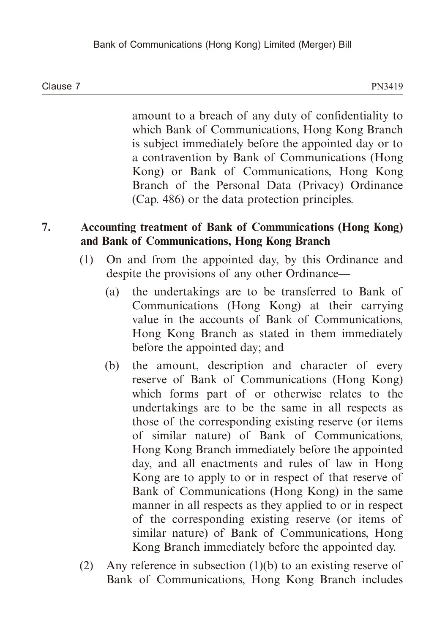amount to a breach of any duty of confidentiality to which Bank of Communications, Hong Kong Branch is subject immediately before the appointed day or to a contravention by Bank of Communications (Hong Kong) or Bank of Communications, Hong Kong Branch of the Personal Data (Privacy) Ordinance (Cap. 486) or the data protection principles.

## **7. Accounting treatment of Bank of Communications (Hong Kong) and Bank of Communications, Hong Kong Branch**

- (1) On and from the appointed day, by this Ordinance and despite the provisions of any other Ordinance—
	- (a) the undertakings are to be transferred to Bank of Communications (Hong Kong) at their carrying value in the accounts of Bank of Communications, Hong Kong Branch as stated in them immediately before the appointed day; and
	- (b) the amount, description and character of every reserve of Bank of Communications (Hong Kong) which forms part of or otherwise relates to the undertakings are to be the same in all respects as those of the corresponding existing reserve (or items of similar nature) of Bank of Communications, Hong Kong Branch immediately before the appointed day, and all enactments and rules of law in Hong Kong are to apply to or in respect of that reserve of Bank of Communications (Hong Kong) in the same manner in all respects as they applied to or in respect of the corresponding existing reserve (or items of similar nature) of Bank of Communications, Hong Kong Branch immediately before the appointed day.
- (2) Any reference in subsection (1)(b) to an existing reserve of Bank of Communications, Hong Kong Branch includes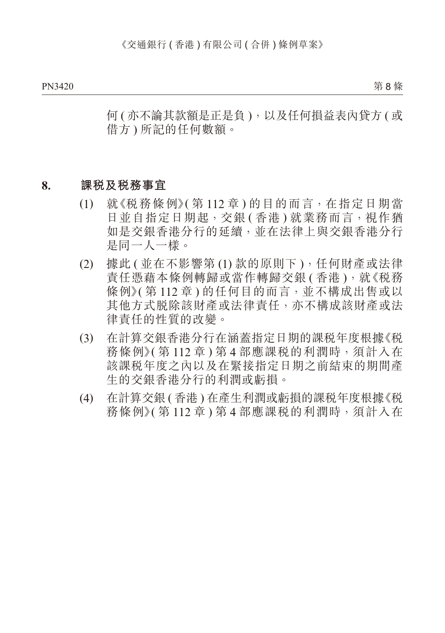PN3420 PN3421

第 8 條

 何 ( 亦不論其款額是正是負 ),以及任何損益表內貸方 ( 或 借方 ) 所記的任何數額。

#### **8. 課稅及稅務事宜**

- (1) 就《稅務條例》( 第 112 章 ) 的目的而言,在指定日期當 日並自指定日期起,交銀 ( 香港 ) 就業務而言,視作猶 如是交銀香港分行的延續,並在法律上與交銀香港分行 是同一人一樣。
- (2) 據此 ( 並在不影響第 (1) 款的原則下 ),任何財產或法律 責任憑藉本條例轉歸或當作轉歸交銀 ( 香港 ), 就《税務 條例》( 第 112 章 ) 的任何目的而言,並不構成出售或以 其他方式脫除該財產或法律責任,亦不構成該財產或法 律責任的性質的改變。
- (3) 在計算交銀香港分行在涵蓋指定日期的課稅年度根據《稅 務條例》( 第 112 章 ) 第 4 部應課稅的利潤時,須計入在 該課稅年度之內以及在緊接指定日期之前結束的期間產 生的交銀香港分行的利潤或虧損。
- (4) 在計算交銀 ( 香港 ) 在產生利潤或虧損的課稅年度根據《稅 務條例》(第112章)第4部應課税的利潤時,須計入在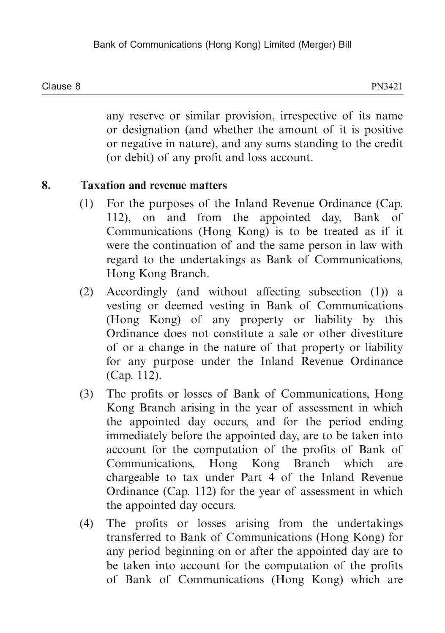Clause 8  $\blacksquare$  PN3421

any reserve or similar provision, irrespective of its name or designation (and whether the amount of it is positive or negative in nature), and any sums standing to the credit (or debit) of any profit and loss account.

## **8. Taxation and revenue matters**

- (1) For the purposes of the Inland Revenue Ordinance (Cap. 112), on and from the appointed day, Bank of Communications (Hong Kong) is to be treated as if it were the continuation of and the same person in law with regard to the undertakings as Bank of Communications, Hong Kong Branch.
- (2) Accordingly (and without affecting subsection (1)) a vesting or deemed vesting in Bank of Communications (Hong Kong) of any property or liability by this Ordinance does not constitute a sale or other divestiture of or a change in the nature of that property or liability for any purpose under the Inland Revenue Ordinance (Cap. 112).
- (3) The profits or losses of Bank of Communications, Hong Kong Branch arising in the year of assessment in which the appointed day occurs, and for the period ending immediately before the appointed day, are to be taken into account for the computation of the profits of Bank of Communications, Hong Kong Branch which are chargeable to tax under Part 4 of the Inland Revenue Ordinance (Cap. 112) for the year of assessment in which the appointed day occurs.
- (4) The profits or losses arising from the undertakings transferred to Bank of Communications (Hong Kong) for any period beginning on or after the appointed day are to be taken into account for the computation of the profits of Bank of Communications (Hong Kong) which are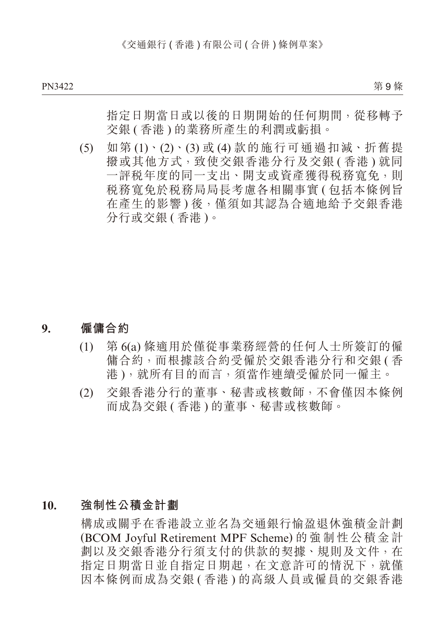指定日期當日或以後的日期開始的任何期間,從移轉予 交銀 ( 香港 ) 的業務所產生的利潤或虧損。

(5) 如第 (1)、(2)、(3) 或 (4) 款的施行可通過扣減、折舊提 撥或其他方式,致使交銀香港分行及交銀 ( 香港 ) 就同 一評稅年度的同一支出、開支或資產獲得稅務寬免,則 稅務寬免於稅務局局長考慮各相關事實 ( 包括本條例旨 在產生的影響 ) 後,僅須如其認為合適地給予交銀香港 分行或交銀 ( 香港 )。

#### **9. 僱傭合約**

- (1) 第 6(a) 條適用於僅從事業務經營的任何人士所簽訂的僱 傭合約,而根據該合約受僱於交銀香港分行和交銀 ( 香 港 ),就所有目的而言,須當作連續受僱於同一僱主。
- (2) 交銀香港分行的董事、秘書或核數師,不會僅因本條例 而成為交銀 ( 香港 ) 的董事、秘書或核數師。

### **10. 強制性公積金計劃**

構成或關乎在香港設立並名為交通銀行愉盈退休強積金計劃 (BCOM Joyful Retirement MPF Scheme) 的強制性公積金計 劃以及交銀香港分行須支付的供款的契據、規則及文件,在 指定日期當日並自指定日期起,在文意許可的情況下,就僅 因本條例而成為交銀 ( 香港 ) 的高級人員或僱員的交銀香港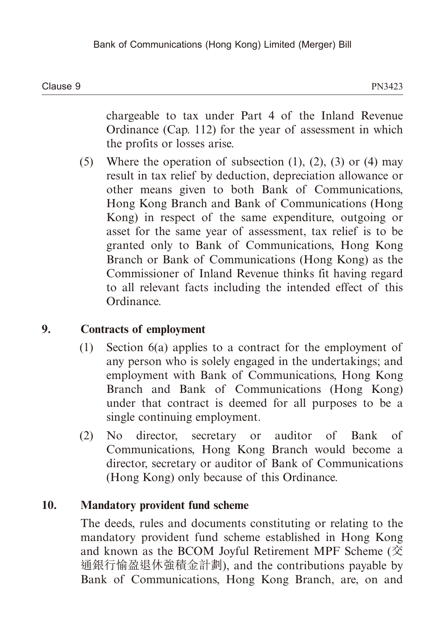chargeable to tax under Part 4 of the Inland Revenue Ordinance (Cap. 112) for the year of assessment in which the profits or losses arise.

(5) Where the operation of subsection  $(1)$ ,  $(2)$ ,  $(3)$  or  $(4)$  may result in tax relief by deduction, depreciation allowance or other means given to both Bank of Communications, Hong Kong Branch and Bank of Communications (Hong Kong) in respect of the same expenditure, outgoing or asset for the same year of assessment, tax relief is to be granted only to Bank of Communications, Hong Kong Branch or Bank of Communications (Hong Kong) as the Commissioner of Inland Revenue thinks fit having regard to all relevant facts including the intended effect of this Ordinance.

# **9. Contracts of employment**

- (1) Section 6(a) applies to a contract for the employment of any person who is solely engaged in the undertakings; and employment with Bank of Communications, Hong Kong Branch and Bank of Communications (Hong Kong) under that contract is deemed for all purposes to be a single continuing employment.
- (2) No director, secretary or auditor of Bank of Communications, Hong Kong Branch would become a director, secretary or auditor of Bank of Communications (Hong Kong) only because of this Ordinance.

# **10. Mandatory provident fund scheme**

The deeds, rules and documents constituting or relating to the mandatory provident fund scheme established in Hong Kong and known as the BCOM Joyful Retirement MPF Scheme (交 通銀行愉盈退休強積金計劃), and the contributions payable by Bank of Communications, Hong Kong Branch, are, on and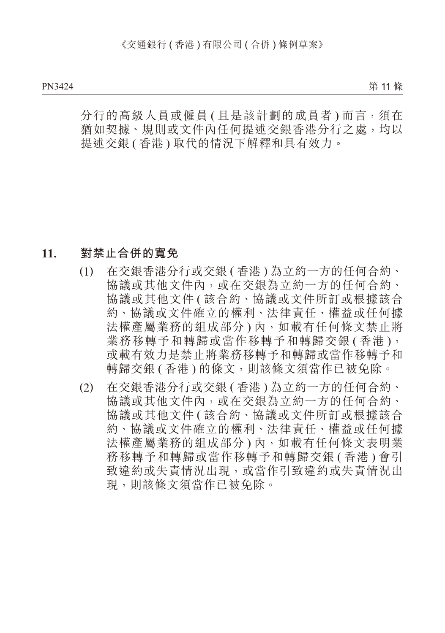第 11 條 PN3424 Photo Photo Photo Photo Photo Photo Photo Photo Photo Photo Photo Photo Photo Photo Photo Photo Photo P

分行的高級人員或僱員(且是該計劃的成員者)而言,須在 猶如契據、規則或文件內任何提述交銀香港分行之處,均以 提述交銀 ( 香港 ) 取代的情況下解釋和具有效力。

### **11. 對禁止合併的寬免**

- (1) 在交銀香港分行或交銀 ( 香港 ) 為立約一方的任何合約、 協議或其他文件內,或在交銀為立約一方的任何合約、 協議或其他文件 ( 該合約、協議或文件所訂或根據該合 約、協議或文件確立的權利、法律責任、權益或任何據 法權產屬業務的組成部分) 內, 如載有任何條文禁止將 業務移轉予和轉歸或當作移轉予和轉歸交銀 ( 香港 ), 或載有效力是禁止將業務移轉予和轉歸或當作移轉予和 轉歸交銀 ( 香港 ) 的條文, 則該條文須當作已被免除。
- (2) 在交銀香港分行或交銀 ( 香港 ) 為立約一方的任何合約、 協議或其他文件內,或在交銀為立約一方的任何合約、 協議或其他文件 ( 該合約、協議或文件所訂或根據該合 約、協議或文件確立的權利、法律責任、權益或任何據 法權產屬業務的組成部分) 內, 如載有任何條文表明業 務移轉予和轉歸或當作移轉予和轉歸交銀 ( 香港 ) 會引 致違約或失責情況出現,或當作引致違約或失責情況出 現,則該條文須當作已被免除。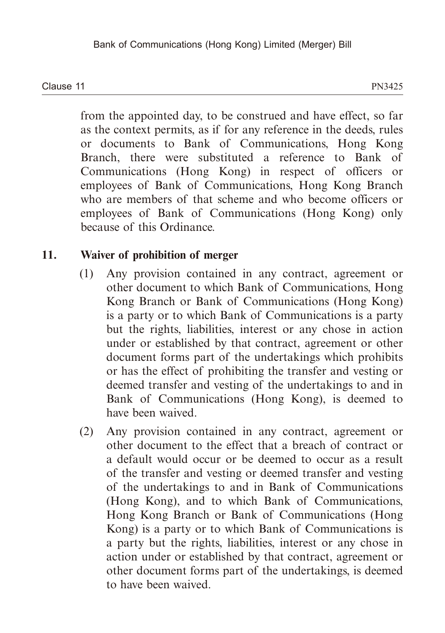from the appointed day, to be construed and have effect, so far as the context permits, as if for any reference in the deeds, rules or documents to Bank of Communications, Hong Kong Branch, there were substituted a reference to Bank of Communications (Hong Kong) in respect of officers or employees of Bank of Communications, Hong Kong Branch who are members of that scheme and who become officers or employees of Bank of Communications (Hong Kong) only because of this Ordinance.

# **11. Waiver of prohibition of merger**

- (1) Any provision contained in any contract, agreement or other document to which Bank of Communications, Hong Kong Branch or Bank of Communications (Hong Kong) is a party or to which Bank of Communications is a party but the rights, liabilities, interest or any chose in action under or established by that contract, agreement or other document forms part of the undertakings which prohibits or has the effect of prohibiting the transfer and vesting or deemed transfer and vesting of the undertakings to and in Bank of Communications (Hong Kong), is deemed to have been waived.
- (2) Any provision contained in any contract, agreement or other document to the effect that a breach of contract or a default would occur or be deemed to occur as a result of the transfer and vesting or deemed transfer and vesting of the undertakings to and in Bank of Communications (Hong Kong), and to which Bank of Communications, Hong Kong Branch or Bank of Communications (Hong Kong) is a party or to which Bank of Communications is a party but the rights, liabilities, interest or any chose in action under or established by that contract, agreement or other document forms part of the undertakings, is deemed to have been waived.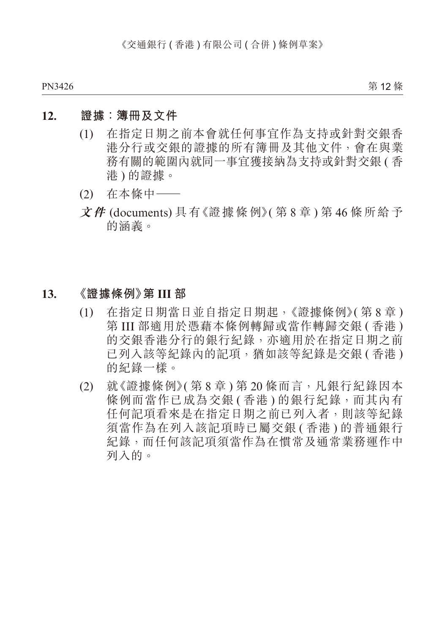第 12條 PN3426 Photos - Photos - Photos - Photos - Photos - Photos - Photos - Photos - Official American - Photos - Ph

#### **12. 證據:簿冊及文件**

- (1) 在指定日期之前本會就任何事宜作為支持或針對交銀香 港分行或交銀的證據的所有簿冊及其他文件,會在與業 務有關的範圍內就同一事宜獲接納為支持或針對交銀 ( 香 港 ) 的證據。
- (2) 在本條中——
- **文件** (documents) 具有《證據條例》( 第 8 章 ) 第 46 條所給予 的涵義。

### **13. 《證據條例》第 III 部**

- (1) 在指定日期當日並自指定日期起,《證據條例》( 第 8 章 ) 第 III 部滴用於憑藉本條例轉歸或當作轉歸交銀 ( 香港 ) 的交銀香港分行的銀行紀錄,亦適用於在指定日期之前 已列入該等紀錄內的記項,猶如該等紀錄是交銀 ( 香港 ) 的紀錄一樣。
- (2) 就《證據條例》( 第 8 章 ) 第 20 條而言,凡銀行紀錄因本 條例而當作已成為交銀 ( 香港 ) 的銀行紀錄, 而其內有 任何記項看來是在指定日期之前已列入者,則該等紀錄 須當作為在列入該記項時已屬交銀 ( 香港 ) 的普通銀行 紀錄,而任何該記項須當作為在慣常及通常業務運作中 列入的。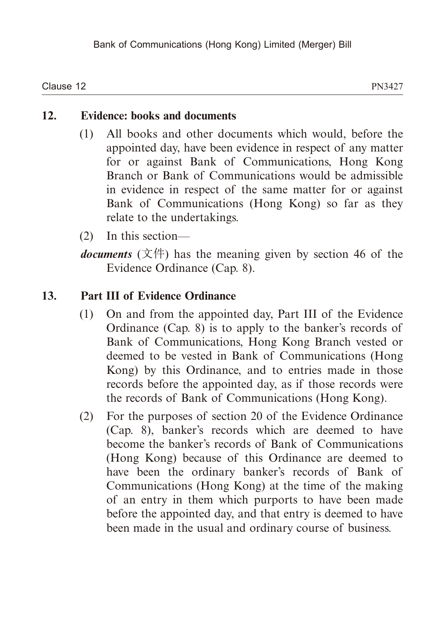Clause 12  $\blacksquare$  PN3427

### **12. Evidence: books and documents**

- (1) All books and other documents which would, before the appointed day, have been evidence in respect of any matter for or against Bank of Communications, Hong Kong Branch or Bank of Communications would be admissible in evidence in respect of the same matter for or against Bank of Communications (Hong Kong) so far as they relate to the undertakings.
- (2) In this section—

*documents* (文件) has the meaning given by section 46 of the Evidence Ordinance (Cap. 8).

## **13. Part III of Evidence Ordinance**

- (1) On and from the appointed day, Part III of the Evidence Ordinance (Cap. 8) is to apply to the banker's records of Bank of Communications, Hong Kong Branch vested or deemed to be vested in Bank of Communications (Hong Kong) by this Ordinance, and to entries made in those records before the appointed day, as if those records were the records of Bank of Communications (Hong Kong).
- (2) For the purposes of section 20 of the Evidence Ordinance (Cap. 8), banker's records which are deemed to have become the banker's records of Bank of Communications (Hong Kong) because of this Ordinance are deemed to have been the ordinary banker's records of Bank of Communications (Hong Kong) at the time of the making of an entry in them which purports to have been made before the appointed day, and that entry is deemed to have been made in the usual and ordinary course of business.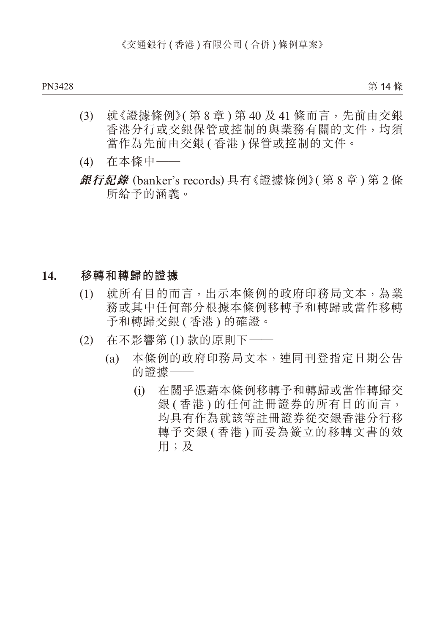第 14 條 PN3428 Photos - Photos - Photos - Photos - Photos - Photos - Photos - Photos - Photos - Photos - Photos - Phot

- (3) 就《證據條例》( 第 8 章 ) 第 40 及 41 條而言,先前由交銀 香港分行或交銀保管或控制的與業務有關的文件,均須 當作為先前由交銀 ( 香港 ) 保管或控制的文件。
- (4) 在本條中——
- **銀行紀錄** (banker's records) 具有《證據條例》( 第 8 章 ) 第 2 條 所給予的涵義。

#### **14. 移轉和轉歸的證據**

- (1) 就所有目的而言,出示本條例的政府印務局文本,為業 務或其中任何部分根據本條例移轉予和轉歸或當作移轉 予和轉歸交銀 ( 香港 ) 的確證。
- (2) 在不影響第 (1) 款的原則下——
	- (a) 本條例的政府印務局文本,連同刊登指定日期公告 的證據——
		- (i) 在關乎憑藉本條例移轉予和轉歸或當作轉歸交 銀 ( 香港 ) 的任何註冊證券的所有目的而言, 均具有作為就該等註冊證券從交銀香港分行移 轉予交銀 ( 香港 ) 而妥為簽立的移轉文書的效 用;及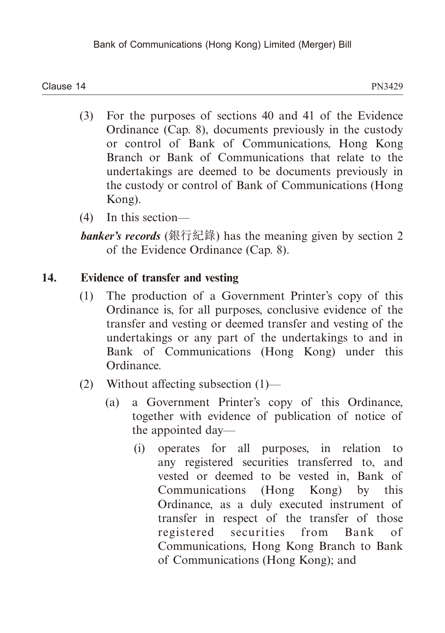Clause 14 **Clause 14** PN3429

- (3) For the purposes of sections 40 and 41 of the Evidence Ordinance (Cap. 8), documents previously in the custody or control of Bank of Communications, Hong Kong Branch or Bank of Communications that relate to the undertakings are deemed to be documents previously in the custody or control of Bank of Communications (Hong Kong).
- (4) In this section—

*banker's records* (銀行紀錄) has the meaning given by section 2 of the Evidence Ordinance (Cap. 8).

# **14. Evidence of transfer and vesting**

- (1) The production of a Government Printer's copy of this Ordinance is, for all purposes, conclusive evidence of the transfer and vesting or deemed transfer and vesting of the undertakings or any part of the undertakings to and in Bank of Communications (Hong Kong) under this Ordinance.
- (2) Without affecting subsection (1)—
	- (a) a Government Printer's copy of this Ordinance, together with evidence of publication of notice of the appointed day—
		- (i) operates for all purposes, in relation to any registered securities transferred to, and vested or deemed to be vested in, Bank of Communications (Hong Kong) by this Ordinance, as a duly executed instrument of transfer in respect of the transfer of those registered securities from Bank of Communications, Hong Kong Branch to Bank of Communications (Hong Kong); and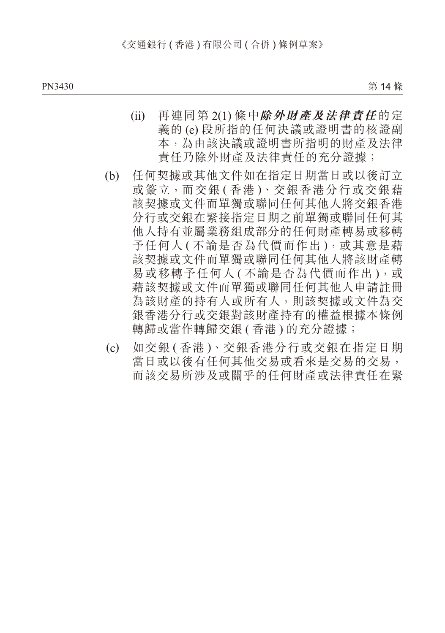第 14 條 PN3430 PN3431

- (ii) 再連同第 2(1) 條中**除外財產及法律責任** 的定 義的 (e) 段所指的任何決議或證明書的核證副 本,為由該決議或證明書所指明的財產及法律 責任乃除外財產及法律責任的充分證據;
- (b) 任何契據或其他文件如在指定日期當日或以後訂立 或簽立,而交銀(香港)、交銀香港分行或交銀藉 該契據或文件而單獨或聯同任何其他人將交銀香港 分行或交銀在緊接指定日期之前單獨或聯同任何其 他人持有並屬業務組成部分的任何財產轉易或移轉 予任何人 ( 不論是否為代價而作出 ),或其意是藉 該契據或文件而單獨或聯同任何其他人將該財產轉 易或移轉予任何人 ( 不論是否為代價而作出 ), 或 藉該契據或文件而單獨或聯同任何其他人申請註冊 為該財產的持有人或所有人,則該契據或文件為交 銀香港分行或交銀對該財產持有的權益根據本條例 轉歸或當作轉歸交銀 ( 香港 ) 的充分證據;
- (c) 如交銀 ( 香港 )、交銀香港分行或交銀在指定日期 當日或以後有任何其他交易或看來是交易的交易, 而該交易所涉及或關乎的任何財產或法律責任在緊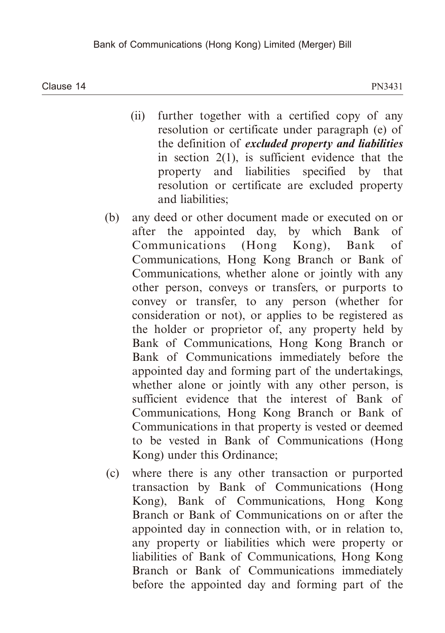Clause 14  $P<sub>N3431</sub>$  PN3431

- (ii) further together with a certified copy of any resolution or certificate under paragraph (e) of the definition of *excluded property and liabilities* in section 2(1), is sufficient evidence that the property and liabilities specified by that resolution or certificate are excluded property and liabilities;
- (b) any deed or other document made or executed on or after the appointed day, by which Bank of Communications (Hong Kong), Bank of Communications, Hong Kong Branch or Bank of Communications, whether alone or jointly with any other person, conveys or transfers, or purports to convey or transfer, to any person (whether for consideration or not), or applies to be registered as the holder or proprietor of, any property held by Bank of Communications, Hong Kong Branch or Bank of Communications immediately before the appointed day and forming part of the undertakings, whether alone or jointly with any other person, is sufficient evidence that the interest of Bank of Communications, Hong Kong Branch or Bank of Communications in that property is vested or deemed to be vested in Bank of Communications (Hong Kong) under this Ordinance;
- (c) where there is any other transaction or purported transaction by Bank of Communications (Hong Kong), Bank of Communications, Hong Kong Branch or Bank of Communications on or after the appointed day in connection with, or in relation to, any property or liabilities which were property or liabilities of Bank of Communications, Hong Kong Branch or Bank of Communications immediately before the appointed day and forming part of the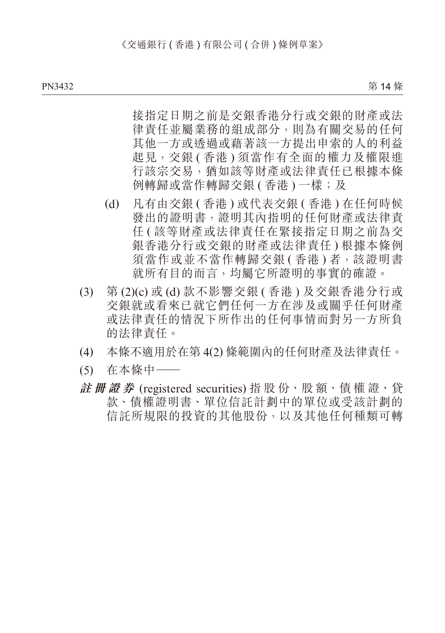第 14 條 PN3432 Photo Photo Photo Photo Photo Photo Photo Photo Photo Photo Photo Photo Photo Photo Photo Photo Photo P

> 接指定日期之前是交銀香港分行或交銀的財產或法 律責任並屬業務的組成部分,則為有關交易的任何 其他一方或透過或藉著該一方提出申索的人的利益 起見,交銀 ( 香港 ) 須當作有全面的權力及權限進 行該宗交易,猶如該等財產或法律責任已根據本條 例轉歸或當作轉歸交銀 ( 香港 ) 一樣; 及

- (d) 凡有由交銀 ( 香港 ) 或代表交銀 ( 香港 ) 在任何時候 發出的證明書,證明其內指明的任何財產或法律責 任 ( 該等財產或法律責任在緊接指定日期之前為交 銀香港分行或交銀的財產或法律責任 ) 根據本條例 須當作或並不當作轉歸交銀 ( 香港 ) 者, 該證明書 就所有目的而言,均屬它所證明的事實的確證。
- (3) 第 (2)(c) 或 (d) 款不影響交銀 ( 香港 ) 及交銀香港分行或 交銀就或看來已就它們任何一方在涉及或關乎任何財產 或法律責任的情況下所作出的任何事情而對另一方所負 的法律責任。
- (4) 本條不適用於在第 4(2) 條範圍內的任何財產及法律責任。
- (5) 在本條中——
- **註冊證券** (registered securities) 指 股 份、股 額、債 權 證、貸 款、債權證明書、單位信託計劃中的單位或受該計劃的 信託所規限的投資的其他股份,以及其他任何種類可轉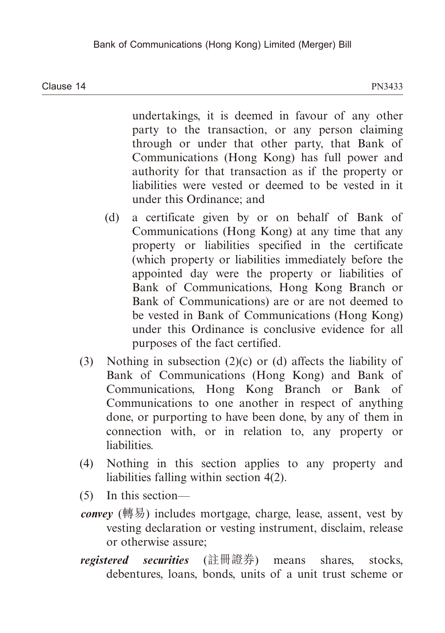undertakings, it is deemed in favour of any other party to the transaction, or any person claiming through or under that other party, that Bank of Communications (Hong Kong) has full power and authority for that transaction as if the property or liabilities were vested or deemed to be vested in it under this Ordinance; and

- (d) a certificate given by or on behalf of Bank of Communications (Hong Kong) at any time that any property or liabilities specified in the certificate (which property or liabilities immediately before the appointed day were the property or liabilities of Bank of Communications, Hong Kong Branch or Bank of Communications) are or are not deemed to be vested in Bank of Communications (Hong Kong) under this Ordinance is conclusive evidence for all purposes of the fact certified.
- (3) Nothing in subsection (2)(c) or (d) affects the liability of Bank of Communications (Hong Kong) and Bank of Communications, Hong Kong Branch or Bank of Communications to one another in respect of anything done, or purporting to have been done, by any of them in connection with, or in relation to, any property or liabilities.
- (4) Nothing in this section applies to any property and liabilities falling within section 4(2).
- (5) In this section—
- *convey* (轉易) includes mortgage, charge, lease, assent, vest by vesting declaration or vesting instrument, disclaim, release or otherwise assure;
- *registered securities* (註冊證券) means shares, stocks, debentures, loans, bonds, units of a unit trust scheme or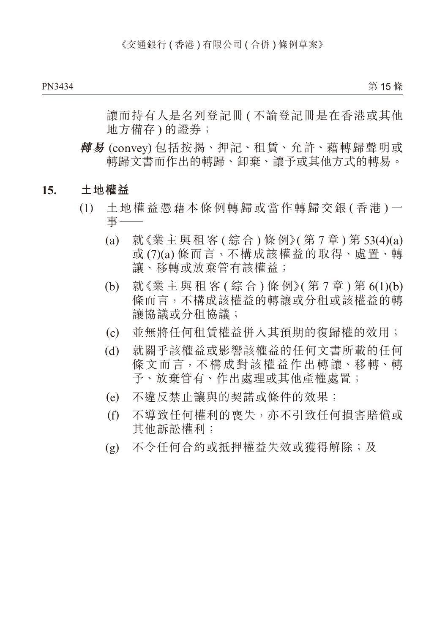第 15 條 PN3434 Photoshop is the control of the control of the control of the control of the control of the control of t

讓而持有人是名列登記冊 ( 不論登記冊是在香港或其他 地方備存 ) 的證券;

**轉易** (convey) 包括按揭、押記、租賃、允許、藉轉歸聲明或 轉歸文書而作出的轉歸、卸棄、讓予或其他方式的轉易。

#### **15. 土地權益**

- (1) 十地權益憑藉本條例轉歸或當作轉歸交銀 ( 香港 ) 一 事——
	- (a) 就《業主與租客 ( 綜合 ) 條例》( 第 7 章 ) 第 53(4)(a) 或(7)(a)條而言,不構成該權益的取得、處置、轉 讓、移轉或放棄管有該權益;
	- (b) 就《業 主 與 租 客 ( 綜 合 ) 條 例》( 第 7 章 ) 第 6(1)(b) 條而言,不構成該權益的轉讓或分租或該權益的轉 讓協議或分租協議;
	- (c) 並無將任何租賃權益併入其預期的復歸權的效用;
	- (d) 就關乎該權益或影響該權益的任何文書所載的任何 條文而言,不構成對該權益作出轉讓、移轉、轉 予、放棄管有、作出處理或其他產權處置;
	- (e) 不違反禁止讓與的契諾或條件的效果;
	- (f) 不導致任何權利的喪失,亦不引致任何損害賠償或 其他訴訟權利;
	- (g) 不令任何合約或抵押權益失效或獲得解除;及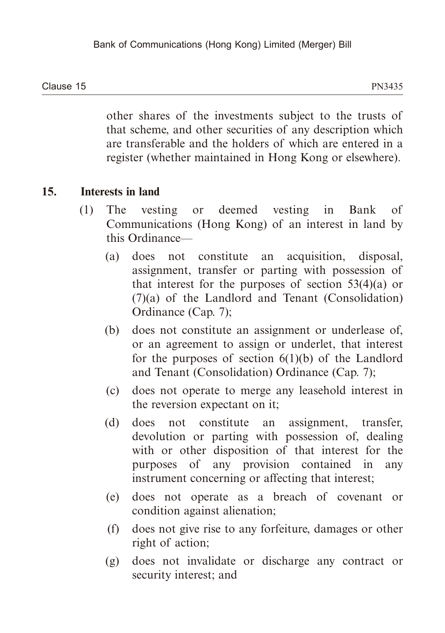Clause 15  $\blacksquare$  PN3435

other shares of the investments subject to the trusts of that scheme, and other securities of any description which are transferable and the holders of which are entered in a register (whether maintained in Hong Kong or elsewhere).

## **15. Interests in land**

- (1) The vesting or deemed vesting in Bank of Communications (Hong Kong) of an interest in land by this Ordinance—
	- (a) does not constitute an acquisition, disposal, assignment, transfer or parting with possession of that interest for the purposes of section  $53(4)(a)$  or (7)(a) of the Landlord and Tenant (Consolidation) Ordinance (Cap. 7);
	- (b) does not constitute an assignment or underlease of, or an agreement to assign or underlet, that interest for the purposes of section  $6(1)(b)$  of the Landlord and Tenant (Consolidation) Ordinance (Cap. 7);
	- (c) does not operate to merge any leasehold interest in the reversion expectant on it;
	- (d) does not constitute an assignment, transfer, devolution or parting with possession of, dealing with or other disposition of that interest for the purposes of any provision contained in any instrument concerning or affecting that interest;
	- (e) does not operate as a breach of covenant or condition against alienation;
	- (f) does not give rise to any forfeiture, damages or other right of action;
	- (g) does not invalidate or discharge any contract or security interest; and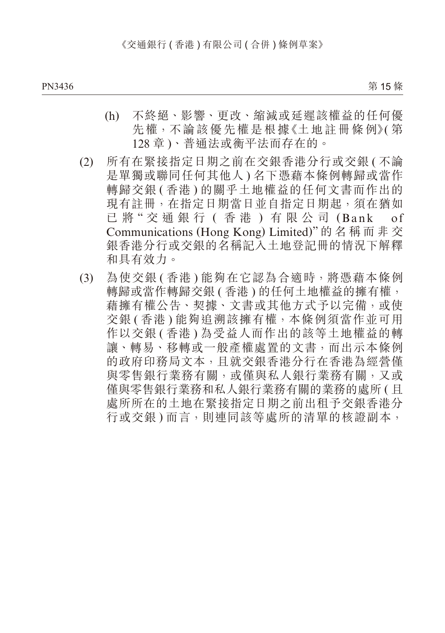- (h) 不終絕、影響、更改、縮減或延遲該權益的任何優 先權,不論該優先權是根據《土地註冊條例》( 第 128 章 )、普通法或衡平法而存在的。
- (2) 所有在緊接指定日期之前在交銀香港分行或交銀 ( 不論 是單獨或聯同任何其他人 ) 名下憑藉本條例轉歸或當作 轉歸交銀 ( 香港 ) 的關乎土地權益的任何文書而作出的 現有註冊,在指定日期當日並自指定日期起,須在猶如 已 將 " 交 通 銀 行 ( 香 港 ) 有 限 公 司 (Bank of Communications (Hong Kong) Limited)" 的名稱而非交 銀香港分行或交銀的名稱記入土地登記冊的情況下解釋 和具有效力。
- (3) 為使交銀 ( 香港 ) 能夠在它認為合適時,將憑藉本條例 轉歸或當作轉歸交銀 ( 香港 ) 的任何土地權益的擁有權, 藉擁有權公告、契據、文書或其他方式予以完備,或使 交銀 ( 香港 ) 能夠追溯該擁有權,本條例須當作並可用 作以交銀 ( 香港 ) 為受益人而作出的該等土地權益的轉 讓、轉易、移轉或一般產權處置的文書,而出示本條例 的政府印務局文本,且就交銀香港分行在香港為經營僅 與零售銀行業務有關,或僅與私人銀行業務有關,又或 僅與零售銀行業務和私人銀行業務有關的業務的處所 ( 目 處所所在的土地在緊接指定日期之前出租予交銀香港分 行或交銀 ) 而言,則連同該等處所的清單的核證副本,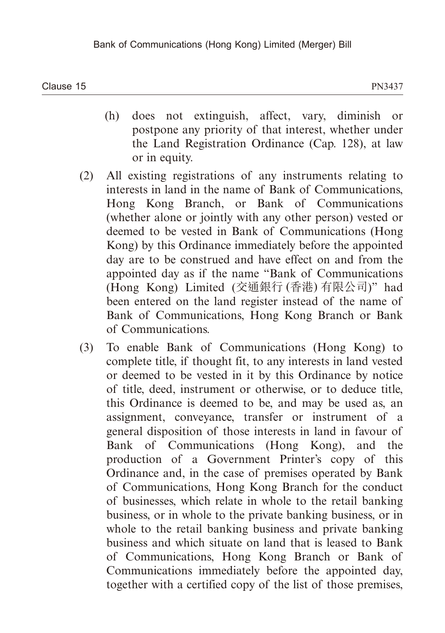- (h) does not extinguish, affect, vary, diminish or postpone any priority of that interest, whether under the Land Registration Ordinance (Cap. 128), at law or in equity.
- (2) All existing registrations of any instruments relating to interests in land in the name of Bank of Communications, Hong Kong Branch, or Bank of Communications (whether alone or jointly with any other person) vested or deemed to be vested in Bank of Communications (Hong Kong) by this Ordinance immediately before the appointed day are to be construed and have effect on and from the appointed day as if the name "Bank of Communications (Hong Kong) Limited (交通銀行 (香港) 有限公司)" had been entered on the land register instead of the name of Bank of Communications, Hong Kong Branch or Bank of Communications.
- (3) To enable Bank of Communications (Hong Kong) to complete title, if thought fit, to any interests in land vested or deemed to be vested in it by this Ordinance by notice of title, deed, instrument or otherwise, or to deduce title, this Ordinance is deemed to be, and may be used as, an assignment, conveyance, transfer or instrument of a general disposition of those interests in land in favour of Bank of Communications (Hong Kong), and the production of a Government Printer's copy of this Ordinance and, in the case of premises operated by Bank of Communications, Hong Kong Branch for the conduct of businesses, which relate in whole to the retail banking business, or in whole to the private banking business, or in whole to the retail banking business and private banking business and which situate on land that is leased to Bank of Communications, Hong Kong Branch or Bank of Communications immediately before the appointed day, together with a certified copy of the list of those premises,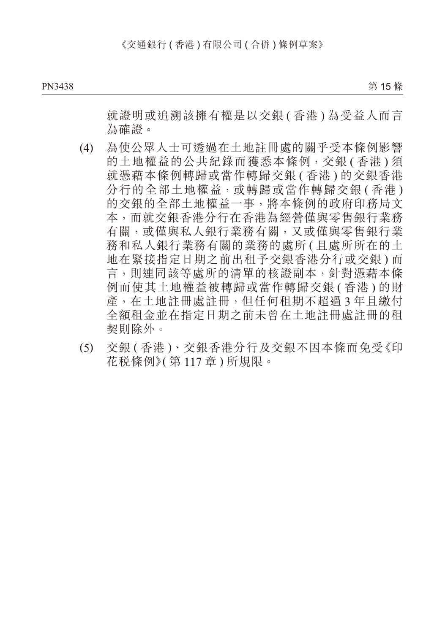第 15條 PN3438 Photos - Photos - Photos - Photos - Photos - Photos - Photos - Photos - Photos - Photos - Photos - Phot

就證明或追溯該擁有權是以交銀 ( 香港 ) 為受益人而言 為確證。

- (4) 為使公眾人士可透過在土地註冊處的關乎受本條例影響 的土地權益的公共紀錄而獲悉本條例,交銀 ( 香港 ) 須 就憑藉本條例轉歸或當作轉歸交銀 ( 香港 ) 的交銀香港 分行的全部土地權益,或轉歸或當作轉歸交銀 ( 香港 ) 的交銀的全部土地權益一事,將本條例的政府印務局文 本,而就交銀香港分行在香港為經營僅與零售銀行業務 有關,或僅與私人銀行業務有關,又或僅與零售銀行業 務和私人銀行業務有關的業務的處所 ( 且處所所在的土 地在緊接指定日期之前出租予交銀香港分行或交銀 ) 而 言,則連同該等處所的清單的核證副本,針對憑藉本條 例而使其土地權益被轉歸或當作轉歸交銀 ( 香港 ) 的財 產,在土地註冊處註冊,但任何租期不超過 3 年且繳付 全額租金並在指定日期之前未曾在土地註冊處註冊的租 契則除外。
- (5) 交銀 ( 香港 )、交銀香港分行及交銀不因本條而免受《印 花稅條例》( 第 117 章 ) 所規限。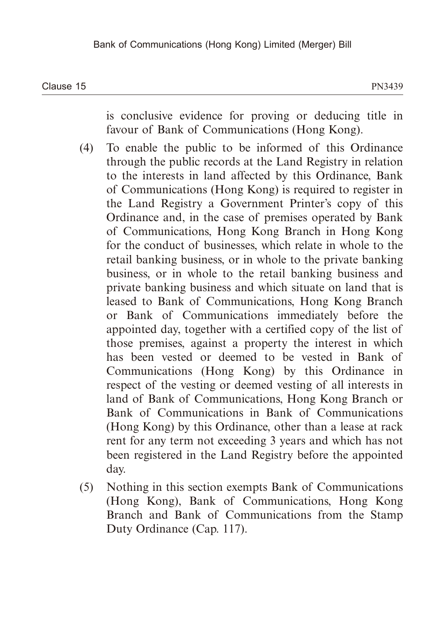is conclusive evidence for proving or deducing title in favour of Bank of Communications (Hong Kong).

- (4) To enable the public to be informed of this Ordinance through the public records at the Land Registry in relation to the interests in land affected by this Ordinance, Bank of Communications (Hong Kong) is required to register in the Land Registry a Government Printer's copy of this Ordinance and, in the case of premises operated by Bank of Communications, Hong Kong Branch in Hong Kong for the conduct of businesses, which relate in whole to the retail banking business, or in whole to the private banking business, or in whole to the retail banking business and private banking business and which situate on land that is leased to Bank of Communications, Hong Kong Branch or Bank of Communications immediately before the appointed day, together with a certified copy of the list of those premises, against a property the interest in which has been vested or deemed to be vested in Bank of Communications (Hong Kong) by this Ordinance in respect of the vesting or deemed vesting of all interests in land of Bank of Communications, Hong Kong Branch or Bank of Communications in Bank of Communications (Hong Kong) by this Ordinance, other than a lease at rack rent for any term not exceeding 3 years and which has not been registered in the Land Registry before the appointed day.
- (5) Nothing in this section exempts Bank of Communications (Hong Kong), Bank of Communications, Hong Kong Branch and Bank of Communications from the Stamp Duty Ordinance (Cap. 117).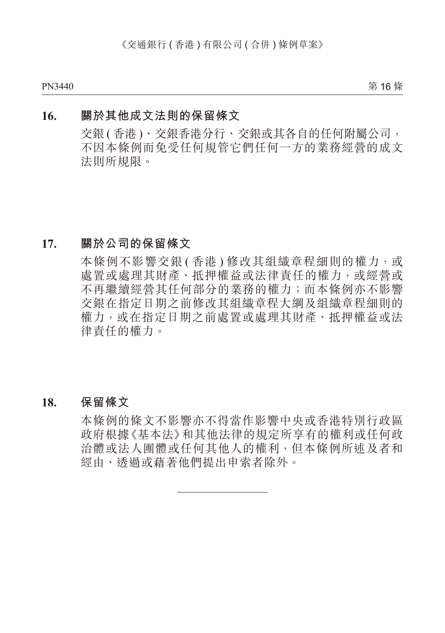第 16條 PN3440 PN3441

#### **16. 關於其他成文法則的保留條文**

交銀 ( 香港 )、交銀香港分行、交銀或其各自的任何附屬公司, 不因本條例而免受任何規管它們任何一方的業務經營的成文 法則所規限。

#### **17. 關於公司的保留條文**

本條例不影響交銀 ( 香港) 修改其組織章程細則的權力, 或 處置或處理其財產、抵押權益或法律責任的權力,或經營或 不再繼續經營其任何部分的業務的權力;而本條例亦不影響 交銀在指定日期之前修改其組織章程大綱及組織章程細則的 權力,或在指定日期之前處置或處理其財產、抵押權益或法 律責任的權力。

#### **18. 保留條文**

本條例的條文不影響亦不得當作影響中央或香港特別行政區 政府根據《基本法》和其他法律的規定所享有的權利或任何政 治體或法人團體或任何其他人的權利,但本條例所述及者和 經由、透過或藉著他們提出申索者除外。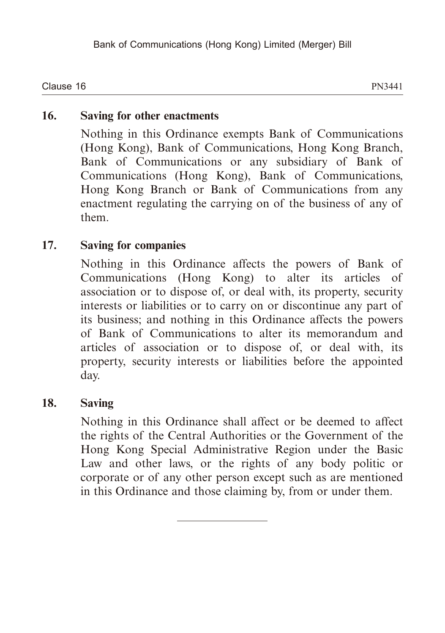Clause 16 Clause 16 and 2012 and 2013 and 2014 and 2014 and 2014 and 2014 and 2014 and 2014 and 2014 and 2014 and 2014 and 2014 and 2014 and 2014 and 2014 and 2014 and 2014 and 2014 and 2014 and 2014 and 2014 and 2014 and 2014 and 2

## **16. Saving for other enactments**

Nothing in this Ordinance exempts Bank of Communications (Hong Kong), Bank of Communications, Hong Kong Branch, Bank of Communications or any subsidiary of Bank of Communications (Hong Kong), Bank of Communications, Hong Kong Branch or Bank of Communications from any enactment regulating the carrying on of the business of any of them.

## **17. Saving for companies**

Nothing in this Ordinance affects the powers of Bank of Communications (Hong Kong) to alter its articles of association or to dispose of, or deal with, its property, security interests or liabilities or to carry on or discontinue any part of its business; and nothing in this Ordinance affects the powers of Bank of Communications to alter its memorandum and articles of association or to dispose of, or deal with, its property, security interests or liabilities before the appointed day.

## **18. Saving**

Nothing in this Ordinance shall affect or be deemed to affect the rights of the Central Authorities or the Government of the Hong Kong Special Administrative Region under the Basic Law and other laws, or the rights of any body politic or corporate or of any other person except such as are mentioned in this Ordinance and those claiming by, from or under them.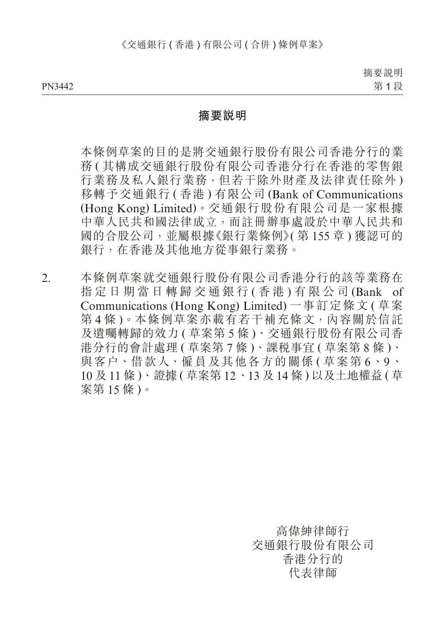摘要說明 第 1 段

#### **摘要說明**

本條例草案的目的是將交通銀行股份有限公司香港分行的業 務 ( 其構成交通銀行股份有限公司香港分行在香港的零售銀 行業務及私人銀行業務,但若干除外財產及法律責任除外 ) 移轉予交通銀行 ( 香港 ) 有限公司 (Bank of Communications (Hong Kong) Limited)。交通銀行股份有限公司是一家根據 中華人民共和國法律成立,而註冊辦事處設於中華人民共和 國的合股公司,並屬根據《銀行業條例》( 第 155 章 ) 獲認可的 銀行,在香港及其他地方從事銀行業務。

2. 本條例草案就交通銀行股份有限公司香港分行的該等業務在 指定日期當日轉歸交通銀行 (香港) 有限公司 (Bank of Communications (Hong Kong) Limited) 一事訂定條文 ( 草案 第4條)。本條例草案亦載有若干補充條文,內容關於信託 及遺囑轉歸的效力 ( 草案第 5 條 )、交通銀行股份有限公司香 港分行的會計處理 ( 草案第 7 條 )、課稅事宜 ( 草案第 8 條 )、 與客户、借款人、僱員及其他各方的關係 ( 草案第 6、9、 10 及 11 條 )、證據 ( 草案第 12、13 及 14 條 ) 以及土地權益 ( 草 案第 15 條 )。

> 高偉紳律師行 交通銀行股份有限公司 香港分行的 代表律師